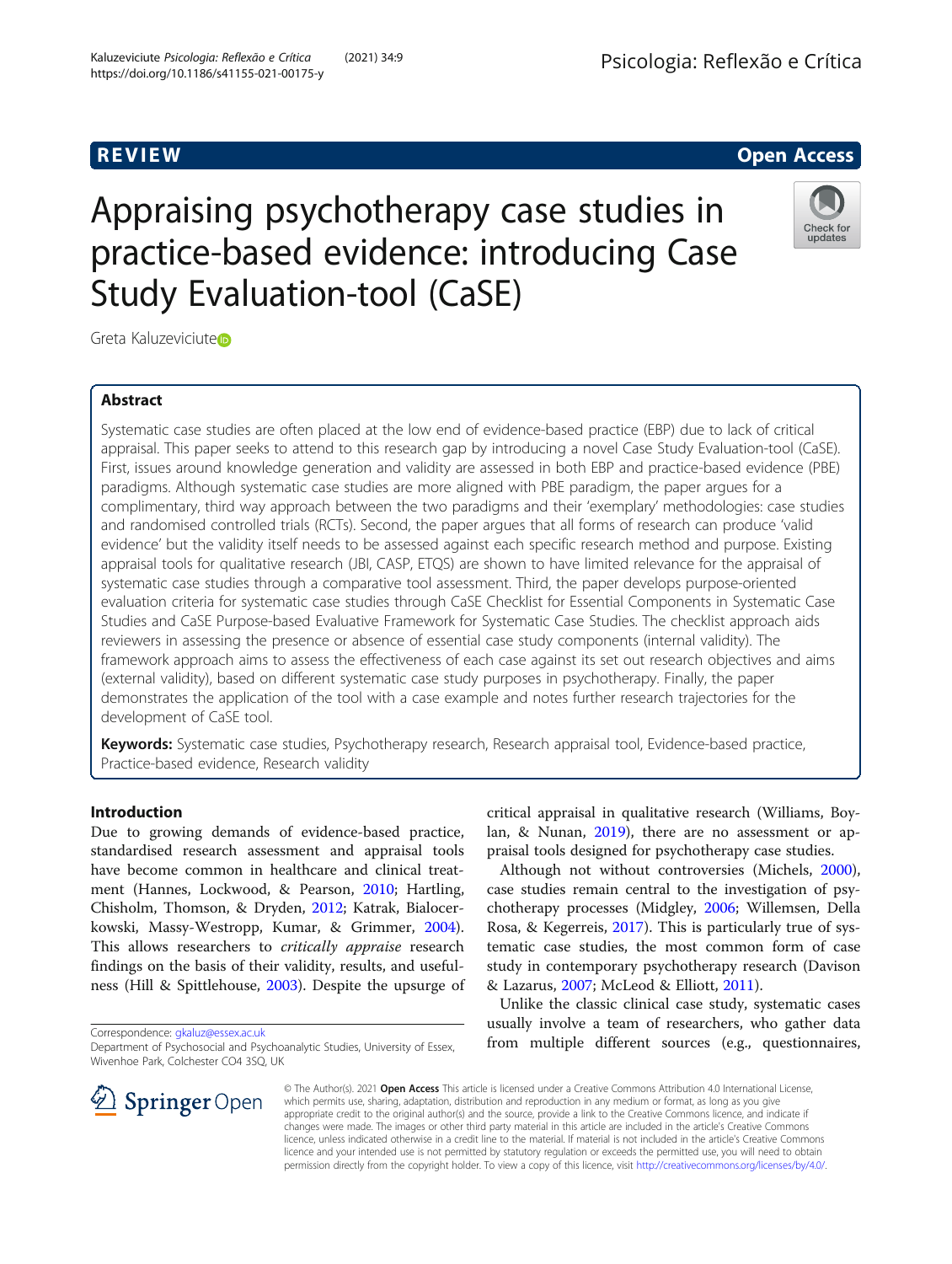#### Kaluzeviciute Psicologia: Reflexão e Crítica (2021) 34:9 (2021) 29:9 (PSicologia: Reflexão e Crítica https://doi.org/10.1186/s41155-021-00175-y

## **REVIEW CONSTRUCTION CONSTRUCTION CONSTRUCTS**

# Appraising psychotherapy case studies in practice-based evidence: introducing Case Study Evaluation-tool (CaSE)

Greta Kaluzeviciute<sup>®</sup>

## Abstract

Systematic case studies are often placed at the low end of evidence-based practice (EBP) due to lack of critical appraisal. This paper seeks to attend to this research gap by introducing a novel Case Study Evaluation-tool (CaSE). First, issues around knowledge generation and validity are assessed in both EBP and practice-based evidence (PBE) paradigms. Although systematic case studies are more aligned with PBE paradigm, the paper argues for a complimentary, third way approach between the two paradigms and their 'exemplary' methodologies: case studies and randomised controlled trials (RCTs). Second, the paper argues that all forms of research can produce 'valid evidence' but the validity itself needs to be assessed against each specific research method and purpose. Existing appraisal tools for qualitative research (JBI, CASP, ETQS) are shown to have limited relevance for the appraisal of systematic case studies through a comparative tool assessment. Third, the paper develops purpose-oriented evaluation criteria for systematic case studies through CaSE Checklist for Essential Components in Systematic Case Studies and CaSE Purpose-based Evaluative Framework for Systematic Case Studies. The checklist approach aids reviewers in assessing the presence or absence of essential case study components (internal validity). The framework approach aims to assess the effectiveness of each case against its set out research objectives and aims (external validity), based on different systematic case study purposes in psychotherapy. Finally, the paper demonstrates the application of the tool with a case example and notes further research trajectories for the development of CaSE tool.

Keywords: Systematic case studies, Psychotherapy research, Research appraisal tool, Evidence-based practice, Practice-based evidence, Research validity

## Introduction

Due to growing demands of evidence-based practice, standardised research assessment and appraisal tools have become common in healthcare and clinical treatment (Hannes, Lockwood, & Pearson, [2010;](#page-17-0) Hartling, Chisholm, Thomson, & Dryden, [2012;](#page-17-0) Katrak, Bialocerkowski, Massy-Westropp, Kumar, & Grimmer, [2004](#page-17-0)). This allows researchers to *critically appraise* research findings on the basis of their validity, results, and usefulness (Hill & Spittlehouse, [2003](#page-17-0)). Despite the upsurge of

Correspondence: [gkaluz@essex.ac.uk](mailto:gkaluz@essex.ac.uk)

critical appraisal in qualitative research (Williams, Boylan, & Nunan, [2019\)](#page-18-0), there are no assessment or appraisal tools designed for psychotherapy case studies.

Although not without controversies (Michels, [2000](#page-18-0)), case studies remain central to the investigation of psychotherapy processes (Midgley, [2006](#page-18-0); Willemsen, Della Rosa, & Kegerreis, [2017\)](#page-18-0). This is particularly true of systematic case studies, the most common form of case study in contemporary psychotherapy research (Davison & Lazarus, [2007;](#page-17-0) McLeod & Elliott, [2011](#page-18-0)).

Unlike the classic clinical case study, systematic cases usually involve a team of researchers, who gather data from multiple different sources (e.g., questionnaires,

© The Author(s). 2021 Open Access This article is licensed under a Creative Commons Attribution 4.0 International License, which permits use, sharing, adaptation, distribution and reproduction in any medium or format, as long as you give appropriate credit to the original author(s) and the source, provide a link to the Creative Commons licence, and indicate if changes were made. The images or other third party material in this article are included in the article's Creative Commons licence, unless indicated otherwise in a credit line to the material. If material is not included in the article's Creative Commons licence and your intended use is not permitted by statutory regulation or exceeds the permitted use, you will need to obtain permission directly from the copyright holder. To view a copy of this licence, visit <http://creativecommons.org/licenses/by/4.0/>.





Department of Psychosocial and Psychoanalytic Studies, University of Essex, Wivenhoe Park, Colchester CO4 3SQ, UK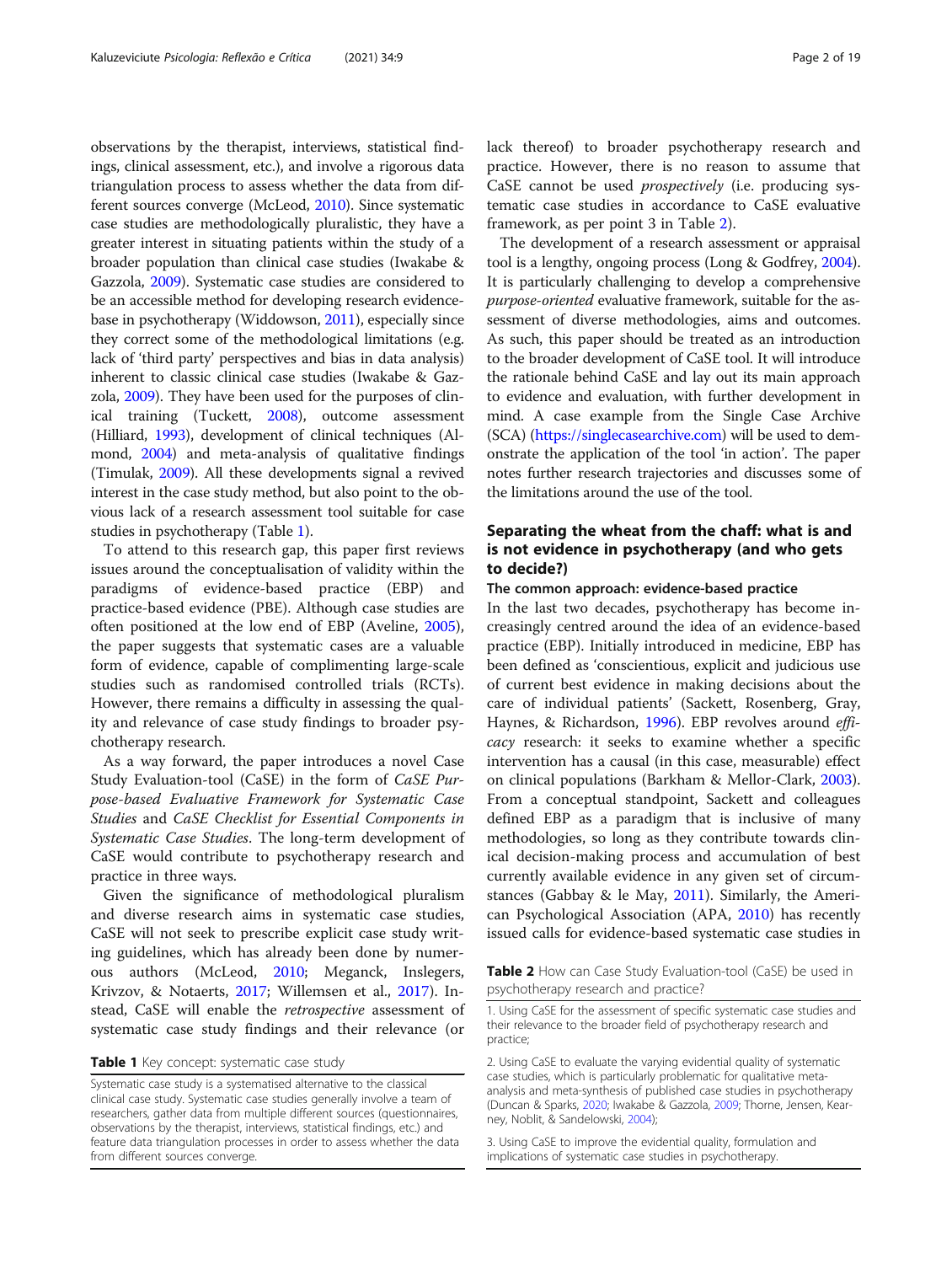observations by the therapist, interviews, statistical findings, clinical assessment, etc.), and involve a rigorous data triangulation process to assess whether the data from different sources converge (McLeod, [2010](#page-18-0)). Since systematic case studies are methodologically pluralistic, they have a greater interest in situating patients within the study of a broader population than clinical case studies (Iwakabe & Gazzola, [2009](#page-17-0)). Systematic case studies are considered to be an accessible method for developing research evidencebase in psychotherapy (Widdowson, [2011](#page-18-0)), especially since they correct some of the methodological limitations (e.g. lack of 'third party' perspectives and bias in data analysis) inherent to classic clinical case studies (Iwakabe & Gazzola, [2009\)](#page-17-0). They have been used for the purposes of clinical training (Tuckett, [2008](#page-18-0)), outcome assessment (Hilliard, [1993](#page-17-0)), development of clinical techniques (Almond, [2004\)](#page-17-0) and meta-analysis of qualitative findings (Timulak, [2009\)](#page-18-0). All these developments signal a revived interest in the case study method, but also point to the obvious lack of a research assessment tool suitable for case studies in psychotherapy (Table 1).

To attend to this research gap, this paper first reviews issues around the conceptualisation of validity within the paradigms of evidence-based practice (EBP) practice-based evidence (PBE). Although case studies are often positioned at the low end of EBP (Aveline, [2005](#page-17-0)), the paper suggests that systematic cases are a valuable form of evidence, capable of complimenting large-scale studies such as randomised controlled trials (RCTs). However, there remains a difficulty in assessing the quality and relevance of case study findings to broader psychotherapy research.

As a way forward, the paper introduces a novel Case Study Evaluation-tool (CaSE) in the form of CaSE Purpose-based Evaluative Framework for Systematic Case Studies and CaSE Checklist for Essential Components in Systematic Case Studies. The long-term development of CaSE would contribute to psychotherapy research and practice in three ways.

Given the significance of methodological pluralism and diverse research aims in systematic case studies, CaSE will not seek to prescribe explicit case study writing guidelines, which has already been done by numerous authors (McLeod, [2010;](#page-18-0) Meganck, Inslegers, Krivzov, & Notaerts, [2017](#page-18-0); Willemsen et al., [2017\)](#page-18-0). Instead, CaSE will enable the retrospective assessment of systematic case study findings and their relevance (or

#### Table 1 Key concept: systematic case study

lack thereof) to broader psychotherapy research and practice. However, there is no reason to assume that CaSE cannot be used prospectively (i.e. producing systematic case studies in accordance to CaSE evaluative framework, as per point 3 in Table 2).

The development of a research assessment or appraisal tool is a lengthy, ongoing process (Long & Godfrey, [2004](#page-18-0)). It is particularly challenging to develop a comprehensive purpose-oriented evaluative framework, suitable for the assessment of diverse methodologies, aims and outcomes. As such, this paper should be treated as an introduction to the broader development of CaSE tool. It will introduce the rationale behind CaSE and lay out its main approach to evidence and evaluation, with further development in mind. A case example from the Single Case Archive (SCA) ([https://singlecasearchive.com\)](https://singlecasearchive.com) will be used to demonstrate the application of the tool 'in action'. The paper notes further research trajectories and discusses some of the limitations around the use of the tool.

## Separating the wheat from the chaff: what is and is not evidence in psychotherapy (and who gets to decide?)

#### The common approach: evidence-based practice

In the last two decades, psychotherapy has become increasingly centred around the idea of an evidence-based practice (EBP). Initially introduced in medicine, EBP has been defined as 'conscientious, explicit and judicious use of current best evidence in making decisions about the care of individual patients' (Sackett, Rosenberg, Gray, Haynes, & Richardson, [1996](#page-18-0)). EBP revolves around efficacy research: it seeks to examine whether a specific intervention has a causal (in this case, measurable) effect on clinical populations (Barkham & Mellor-Clark, [2003](#page-17-0)). From a conceptual standpoint, Sackett and colleagues defined EBP as a paradigm that is inclusive of many methodologies, so long as they contribute towards clinical decision-making process and accumulation of best currently available evidence in any given set of circumstances (Gabbay & le May, [2011](#page-17-0)). Similarly, the American Psychological Association (APA, [2010](#page-17-0)) has recently issued calls for evidence-based systematic case studies in

**Table 2** How can Case Study Evaluation-tool (CaSE) be used in psychotherapy research and practice?

Systematic case study is a systematised alternative to the classical clinical case study. Systematic case studies generally involve a team of researchers, gather data from multiple different sources (questionnaires, observations by the therapist, interviews, statistical findings, etc.) and feature data triangulation processes in order to assess whether the data from different sources converge.

<sup>1.</sup> Using CaSE for the assessment of specific systematic case studies and their relevance to the broader field of psychotherapy research and practice;

<sup>2.</sup> Using CaSE to evaluate the varying evidential quality of systematic case studies, which is particularly problematic for qualitative metaanalysis and meta-synthesis of published case studies in psychotherapy (Duncan & Sparks, [2020;](#page-17-0) Iwakabe & Gazzola, [2009](#page-17-0); Thorne, Jensen, Kearney, Noblit, & Sandelowski, [2004](#page-18-0));

<sup>3.</sup> Using CaSE to improve the evidential quality, formulation and implications of systematic case studies in psychotherapy.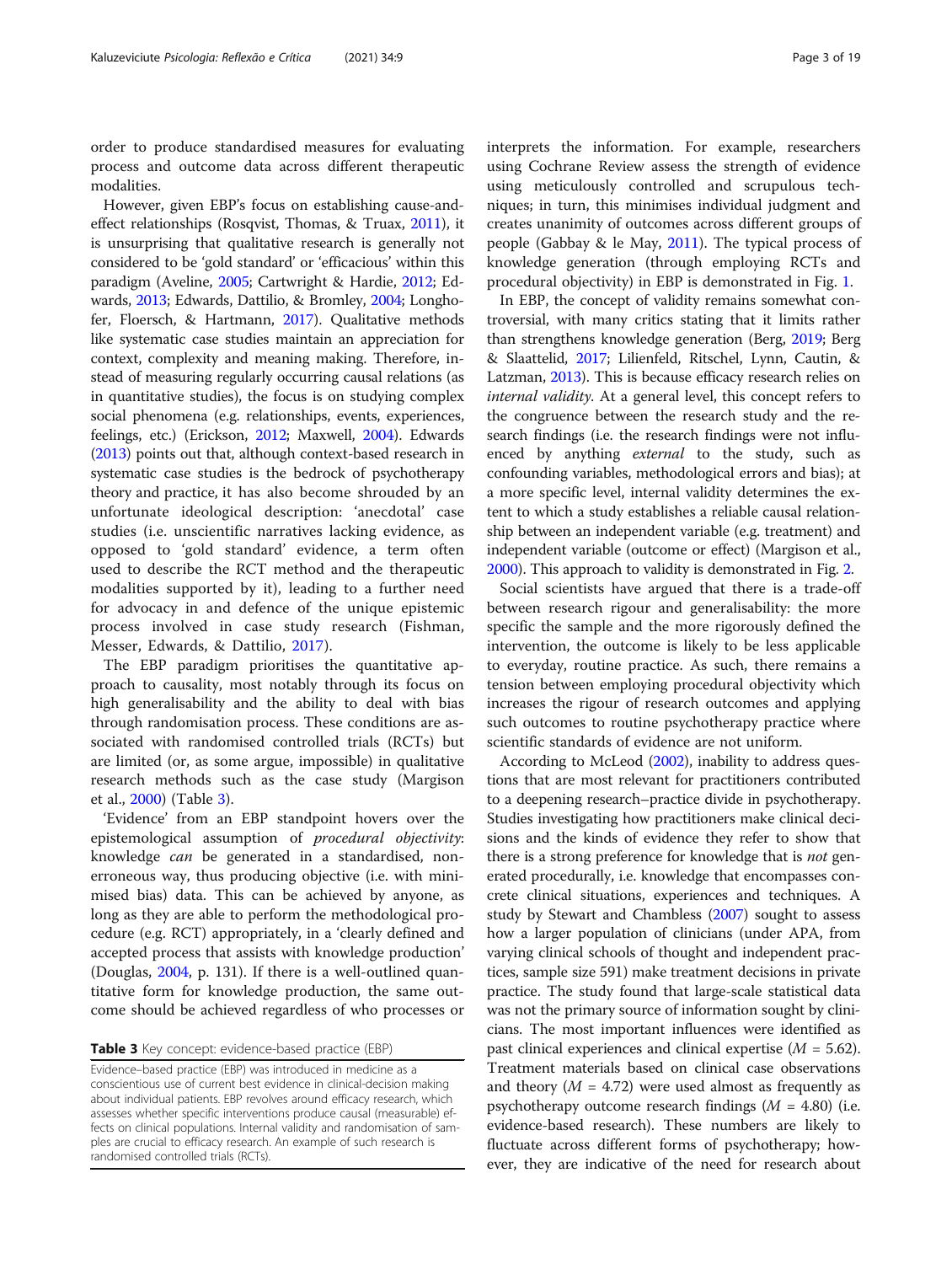order to produce standardised measures for evaluating process and outcome data across different therapeutic modalities.

However, given EBP's focus on establishing cause-andeffect relationships (Rosqvist, Thomas, & Truax, [2011](#page-18-0)), it is unsurprising that qualitative research is generally not considered to be 'gold standard' or 'efficacious' within this paradigm (Aveline, [2005;](#page-17-0) Cartwright & Hardie, [2012;](#page-17-0) Edwards, [2013](#page-17-0); Edwards, Dattilio, & Bromley, [2004](#page-17-0); Longhofer, Floersch, & Hartmann, [2017](#page-18-0)). Qualitative methods like systematic case studies maintain an appreciation for context, complexity and meaning making. Therefore, instead of measuring regularly occurring causal relations (as in quantitative studies), the focus is on studying complex social phenomena (e.g. relationships, events, experiences, feelings, etc.) (Erickson, [2012](#page-17-0); Maxwell, [2004](#page-18-0)). Edwards ([2013](#page-17-0)) points out that, although context-based research in systematic case studies is the bedrock of psychotherapy theory and practice, it has also become shrouded by an unfortunate ideological description: 'anecdotal' case studies (i.e. unscientific narratives lacking evidence, as opposed to 'gold standard' evidence, a term often used to describe the RCT method and the therapeutic modalities supported by it), leading to a further need for advocacy in and defence of the unique epistemic process involved in case study research (Fishman, Messer, Edwards, & Dattilio, [2017\)](#page-17-0).

The EBP paradigm prioritises the quantitative approach to causality, most notably through its focus on high generalisability and the ability to deal with bias through randomisation process. These conditions are associated with randomised controlled trials (RCTs) but are limited (or, as some argue, impossible) in qualitative research methods such as the case study (Margison et al., [2000](#page-18-0)) (Table 3).

'Evidence' from an EBP standpoint hovers over the epistemological assumption of procedural objectivity: knowledge can be generated in a standardised, nonerroneous way, thus producing objective (i.e. with minimised bias) data. This can be achieved by anyone, as long as they are able to perform the methodological procedure (e.g. RCT) appropriately, in a 'clearly defined and accepted process that assists with knowledge production' (Douglas, [2004](#page-17-0), p. 131). If there is a well-outlined quantitative form for knowledge production, the same outcome should be achieved regardless of who processes or

#### Table 3 Key concept: evidence-based practice (EBP)

Evidence–based practice (EBP) was introduced in medicine as a conscientious use of current best evidence in clinical-decision making about individual patients. EBP revolves around efficacy research, which assesses whether specific interventions produce causal (measurable) effects on clinical populations. Internal validity and randomisation of samples are crucial to efficacy research. An example of such research is randomised controlled trials (RCTs).

interprets the information. For example, researchers using Cochrane Review assess the strength of evidence using meticulously controlled and scrupulous techniques; in turn, this minimises individual judgment and creates unanimity of outcomes across different groups of people (Gabbay & le May, [2011](#page-17-0)). The typical process of knowledge generation (through employing RCTs and procedural objectivity) in EBP is demonstrated in Fig. [1.](#page-3-0)

In EBP, the concept of validity remains somewhat controversial, with many critics stating that it limits rather than strengthens knowledge generation (Berg, [2019;](#page-17-0) Berg & Slaattelid, [2017;](#page-17-0) Lilienfeld, Ritschel, Lynn, Cautin, & Latzman, [2013\)](#page-18-0). This is because efficacy research relies on internal validity. At a general level, this concept refers to the congruence between the research study and the research findings (i.e. the research findings were not influenced by anything *external* to the study, such as confounding variables, methodological errors and bias); at a more specific level, internal validity determines the extent to which a study establishes a reliable causal relationship between an independent variable (e.g. treatment) and independent variable (outcome or effect) (Margison et al., [2000](#page-18-0)). This approach to validity is demonstrated in Fig. [2.](#page-3-0)

Social scientists have argued that there is a trade-off between research rigour and generalisability: the more specific the sample and the more rigorously defined the intervention, the outcome is likely to be less applicable to everyday, routine practice. As such, there remains a tension between employing procedural objectivity which increases the rigour of research outcomes and applying such outcomes to routine psychotherapy practice where scientific standards of evidence are not uniform.

According to McLeod ([2002](#page-18-0)), inability to address questions that are most relevant for practitioners contributed to a deepening research–practice divide in psychotherapy. Studies investigating how practitioners make clinical decisions and the kinds of evidence they refer to show that there is a strong preference for knowledge that is *not* generated procedurally, i.e. knowledge that encompasses concrete clinical situations, experiences and techniques. A study by Stewart and Chambless [\(2007](#page-18-0)) sought to assess how a larger population of clinicians (under APA, from varying clinical schools of thought and independent practices, sample size 591) make treatment decisions in private practice. The study found that large-scale statistical data was not the primary source of information sought by clinicians. The most important influences were identified as past clinical experiences and clinical expertise  $(M = 5.62)$ . Treatment materials based on clinical case observations and theory ( $M = 4.72$ ) were used almost as frequently as psychotherapy outcome research findings  $(M = 4.80)$  (i.e. evidence-based research). These numbers are likely to fluctuate across different forms of psychotherapy; however, they are indicative of the need for research about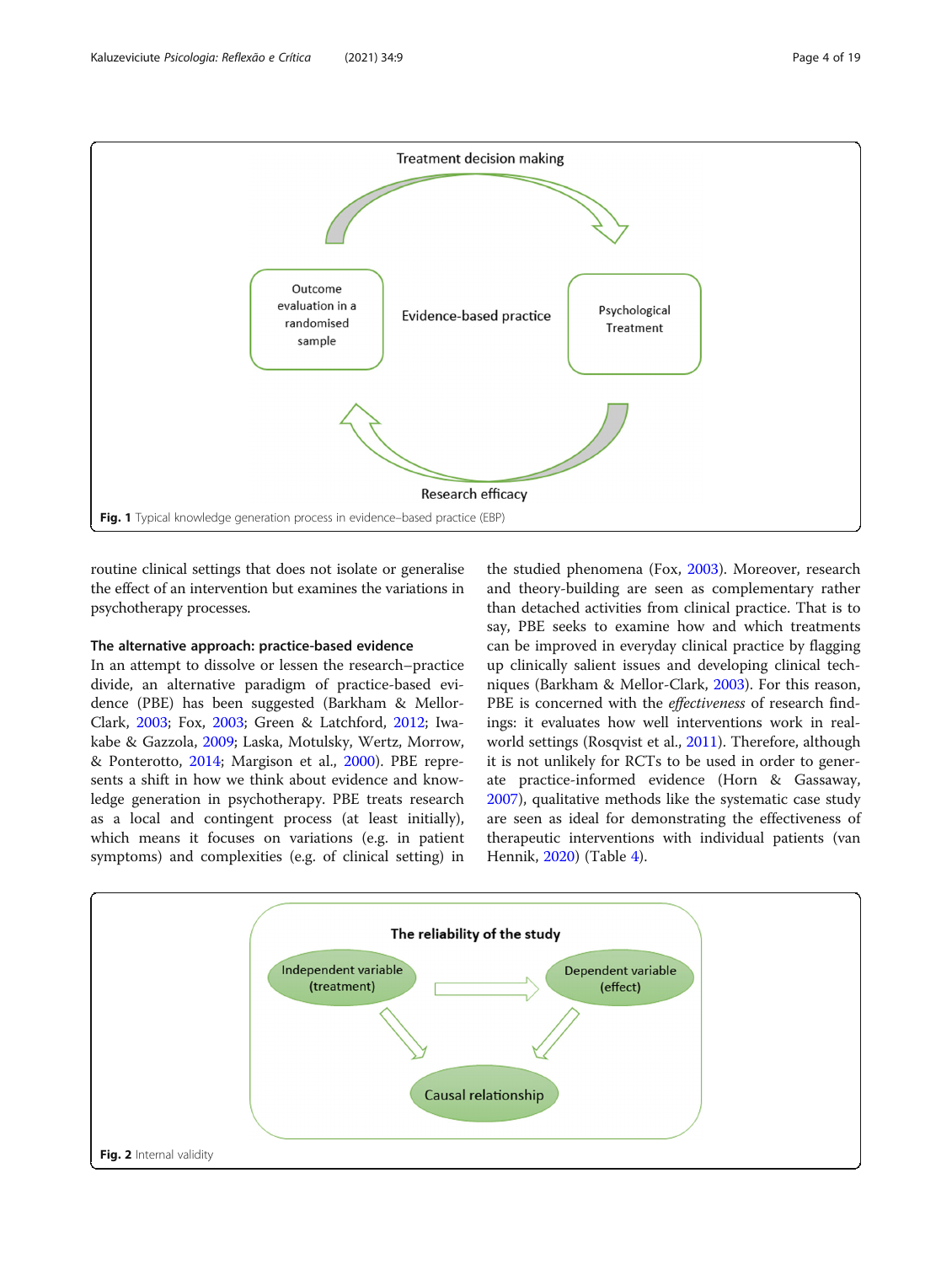<span id="page-3-0"></span>

routine clinical settings that does not isolate or generalise the effect of an intervention but examines the variations in psychotherapy processes.

## The alternative approach: practice-based evidence

In an attempt to dissolve or lessen the research–practice divide, an alternative paradigm of practice-based evidence (PBE) has been suggested (Barkham & Mellor-Clark, [2003;](#page-17-0) Fox, [2003;](#page-17-0) Green & Latchford, [2012;](#page-17-0) Iwakabe & Gazzola, [2009](#page-17-0); Laska, Motulsky, Wertz, Morrow, & Ponterotto, [2014](#page-17-0); Margison et al., [2000\)](#page-18-0). PBE represents a shift in how we think about evidence and knowledge generation in psychotherapy. PBE treats research as a local and contingent process (at least initially), which means it focuses on variations (e.g. in patient symptoms) and complexities (e.g. of clinical setting) in

the studied phenomena (Fox, [2003\)](#page-17-0). Moreover, research and theory-building are seen as complementary rather than detached activities from clinical practice. That is to say, PBE seeks to examine how and which treatments can be improved in everyday clinical practice by flagging up clinically salient issues and developing clinical techniques (Barkham & Mellor-Clark, [2003](#page-17-0)). For this reason, PBE is concerned with the *effectiveness* of research findings: it evaluates how well interventions work in realworld settings (Rosqvist et al., [2011](#page-18-0)). Therefore, although it is not unlikely for RCTs to be used in order to generate practice-informed evidence (Horn & Gassaway, [2007](#page-17-0)), qualitative methods like the systematic case study are seen as ideal for demonstrating the effectiveness of therapeutic interventions with individual patients (van Hennik, [2020\)](#page-18-0) (Table [4\)](#page-4-0).

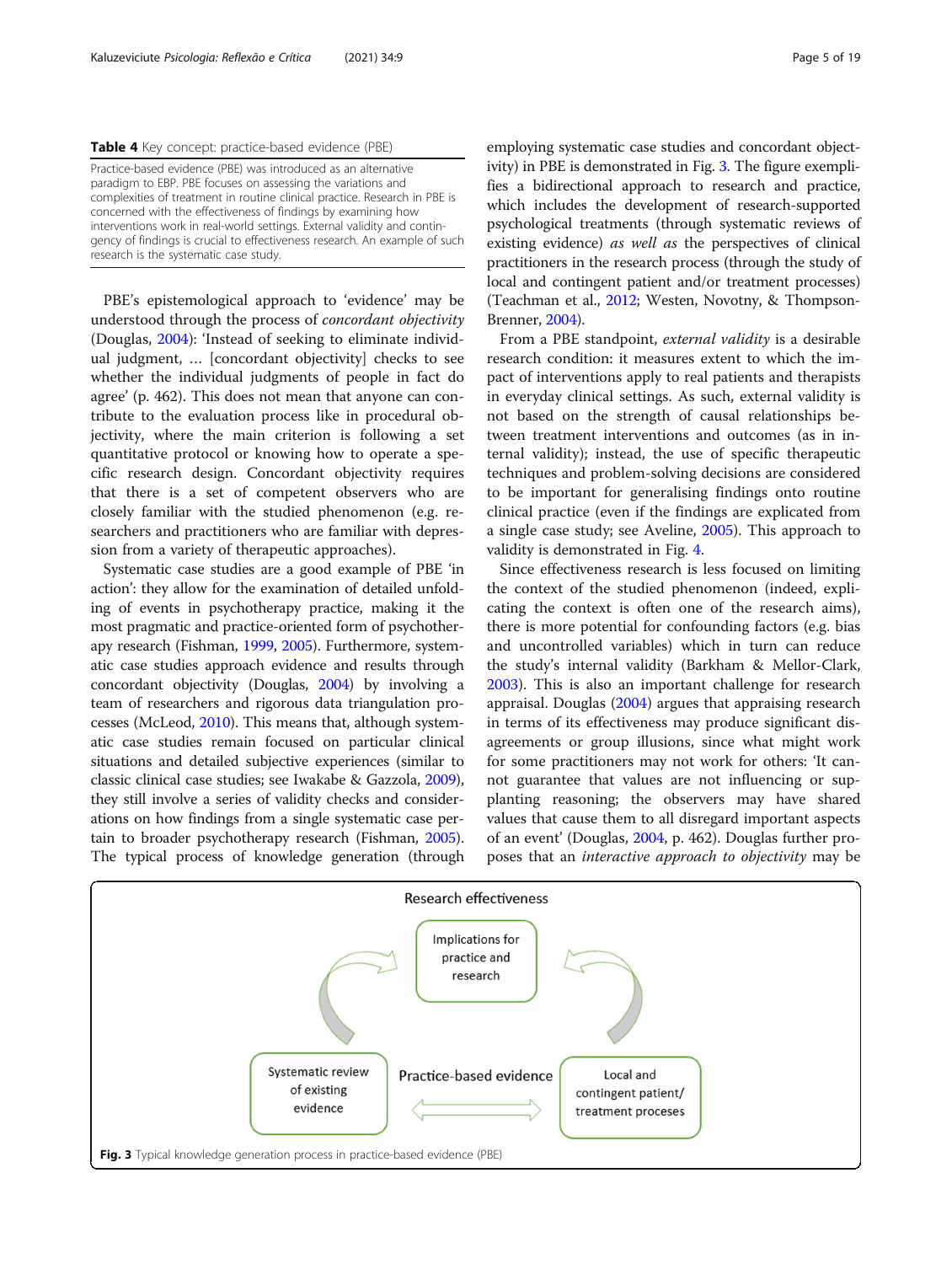<span id="page-4-0"></span>

|  |  | Table 4 Key concept: practice-based evidence (PBE) |  |  |
|--|--|----------------------------------------------------|--|--|
|--|--|----------------------------------------------------|--|--|

Practice-based evidence (PBE) was introduced as an alternative paradigm to EBP. PBE focuses on assessing the variations and complexities of treatment in routine clinical practice. Research in PBE is concerned with the effectiveness of findings by examining how interventions work in real-world settings. External validity and contingency of findings is crucial to effectiveness research. An example of such research is the systematic case study.

PBE's epistemological approach to 'evidence' may be understood through the process of concordant objectivity (Douglas, [2004\)](#page-17-0): 'Instead of seeking to eliminate individual judgment, … [concordant objectivity] checks to see whether the individual judgments of people in fact do agree' (p. 462). This does not mean that anyone can contribute to the evaluation process like in procedural objectivity, where the main criterion is following a set quantitative protocol or knowing how to operate a specific research design. Concordant objectivity requires that there is a set of competent observers who are closely familiar with the studied phenomenon (e.g. researchers and practitioners who are familiar with depression from a variety of therapeutic approaches).

Systematic case studies are a good example of PBE 'in action': they allow for the examination of detailed unfolding of events in psychotherapy practice, making it the most pragmatic and practice-oriented form of psychotherapy research (Fishman, [1999](#page-17-0), [2005\)](#page-17-0). Furthermore, systematic case studies approach evidence and results through concordant objectivity (Douglas, [2004](#page-17-0)) by involving a team of researchers and rigorous data triangulation processes (McLeod, [2010\)](#page-18-0). This means that, although systematic case studies remain focused on particular clinical situations and detailed subjective experiences (similar to classic clinical case studies; see Iwakabe & Gazzola, [2009](#page-17-0)), they still involve a series of validity checks and considerations on how findings from a single systematic case pertain to broader psychotherapy research (Fishman, [2005](#page-17-0)). The typical process of knowledge generation (through

employing systematic case studies and concordant objectivity) in PBE is demonstrated in Fig. 3. The figure exemplifies a bidirectional approach to research and practice, which includes the development of research-supported psychological treatments (through systematic reviews of existing evidence) as well as the perspectives of clinical practitioners in the research process (through the study of local and contingent patient and/or treatment processes) (Teachman et al., [2012](#page-18-0); Westen, Novotny, & Thompson-Brenner, [2004\)](#page-18-0).

From a PBE standpoint, external validity is a desirable research condition: it measures extent to which the impact of interventions apply to real patients and therapists in everyday clinical settings. As such, external validity is not based on the strength of causal relationships between treatment interventions and outcomes (as in internal validity); instead, the use of specific therapeutic techniques and problem-solving decisions are considered to be important for generalising findings onto routine clinical practice (even if the findings are explicated from a single case study; see Aveline, [2005\)](#page-17-0). This approach to validity is demonstrated in Fig. [4.](#page-5-0)

Since effectiveness research is less focused on limiting the context of the studied phenomenon (indeed, explicating the context is often one of the research aims), there is more potential for confounding factors (e.g. bias and uncontrolled variables) which in turn can reduce the study's internal validity (Barkham & Mellor-Clark, [2003](#page-17-0)). This is also an important challenge for research appraisal. Douglas [\(2004\)](#page-17-0) argues that appraising research in terms of its effectiveness may produce significant disagreements or group illusions, since what might work for some practitioners may not work for others: 'It cannot guarantee that values are not influencing or supplanting reasoning; the observers may have shared values that cause them to all disregard important aspects of an event' (Douglas, [2004,](#page-17-0) p. 462). Douglas further proposes that an interactive approach to objectivity may be

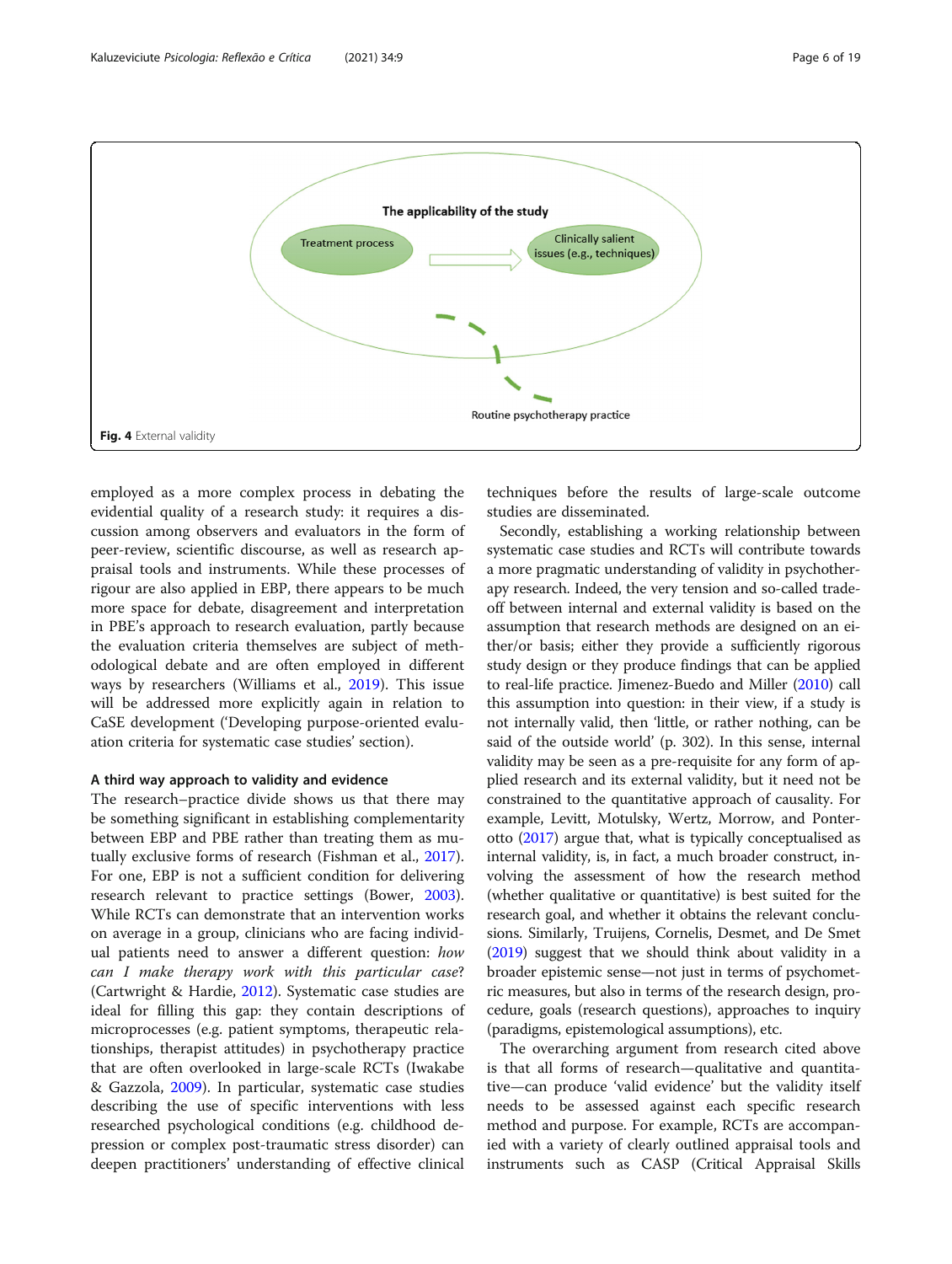

<span id="page-5-0"></span>

employed as a more complex process in debating the evidential quality of a research study: it requires a discussion among observers and evaluators in the form of peer-review, scientific discourse, as well as research appraisal tools and instruments. While these processes of rigour are also applied in EBP, there appears to be much more space for debate, disagreement and interpretation in PBE's approach to research evaluation, partly because the evaluation criteria themselves are subject of methodological debate and are often employed in different ways by researchers (Williams et al., [2019\)](#page-18-0). This issue will be addressed more explicitly again in relation to CaSE development ('Developing purpose-oriented evaluation criteria for systematic case studies' section).

#### A third way approach to validity and evidence

The research–practice divide shows us that there may be something significant in establishing complementarity between EBP and PBE rather than treating them as mutually exclusive forms of research (Fishman et al., [2017](#page-17-0)). For one, EBP is not a sufficient condition for delivering research relevant to practice settings (Bower, [2003](#page-17-0)). While RCTs can demonstrate that an intervention works on average in a group, clinicians who are facing individual patients need to answer a different question: how can I make therapy work with this particular case? (Cartwright & Hardie, [2012\)](#page-17-0). Systematic case studies are ideal for filling this gap: they contain descriptions of microprocesses (e.g. patient symptoms, therapeutic relationships, therapist attitudes) in psychotherapy practice that are often overlooked in large-scale RCTs (Iwakabe & Gazzola, [2009](#page-17-0)). In particular, systematic case studies describing the use of specific interventions with less researched psychological conditions (e.g. childhood depression or complex post-traumatic stress disorder) can deepen practitioners' understanding of effective clinical

techniques before the results of large-scale outcome studies are disseminated.

Secondly, establishing a working relationship between systematic case studies and RCTs will contribute towards a more pragmatic understanding of validity in psychotherapy research. Indeed, the very tension and so-called tradeoff between internal and external validity is based on the assumption that research methods are designed on an either/or basis; either they provide a sufficiently rigorous study design or they produce findings that can be applied to real-life practice. Jimenez-Buedo and Miller [\(2010\)](#page-17-0) call this assumption into question: in their view, if a study is not internally valid, then 'little, or rather nothing, can be said of the outside world' (p. 302). In this sense, internal validity may be seen as a pre-requisite for any form of applied research and its external validity, but it need not be constrained to the quantitative approach of causality. For example, Levitt, Motulsky, Wertz, Morrow, and Ponterotto [\(2017\)](#page-18-0) argue that, what is typically conceptualised as internal validity, is, in fact, a much broader construct, involving the assessment of how the research method (whether qualitative or quantitative) is best suited for the research goal, and whether it obtains the relevant conclusions. Similarly, Truijens, Cornelis, Desmet, and De Smet ([2019](#page-18-0)) suggest that we should think about validity in a broader epistemic sense—not just in terms of psychometric measures, but also in terms of the research design, procedure, goals (research questions), approaches to inquiry (paradigms, epistemological assumptions), etc.

The overarching argument from research cited above is that all forms of research—qualitative and quantitative—can produce 'valid evidence' but the validity itself needs to be assessed against each specific research method and purpose. For example, RCTs are accompanied with a variety of clearly outlined appraisal tools and instruments such as CASP (Critical Appraisal Skills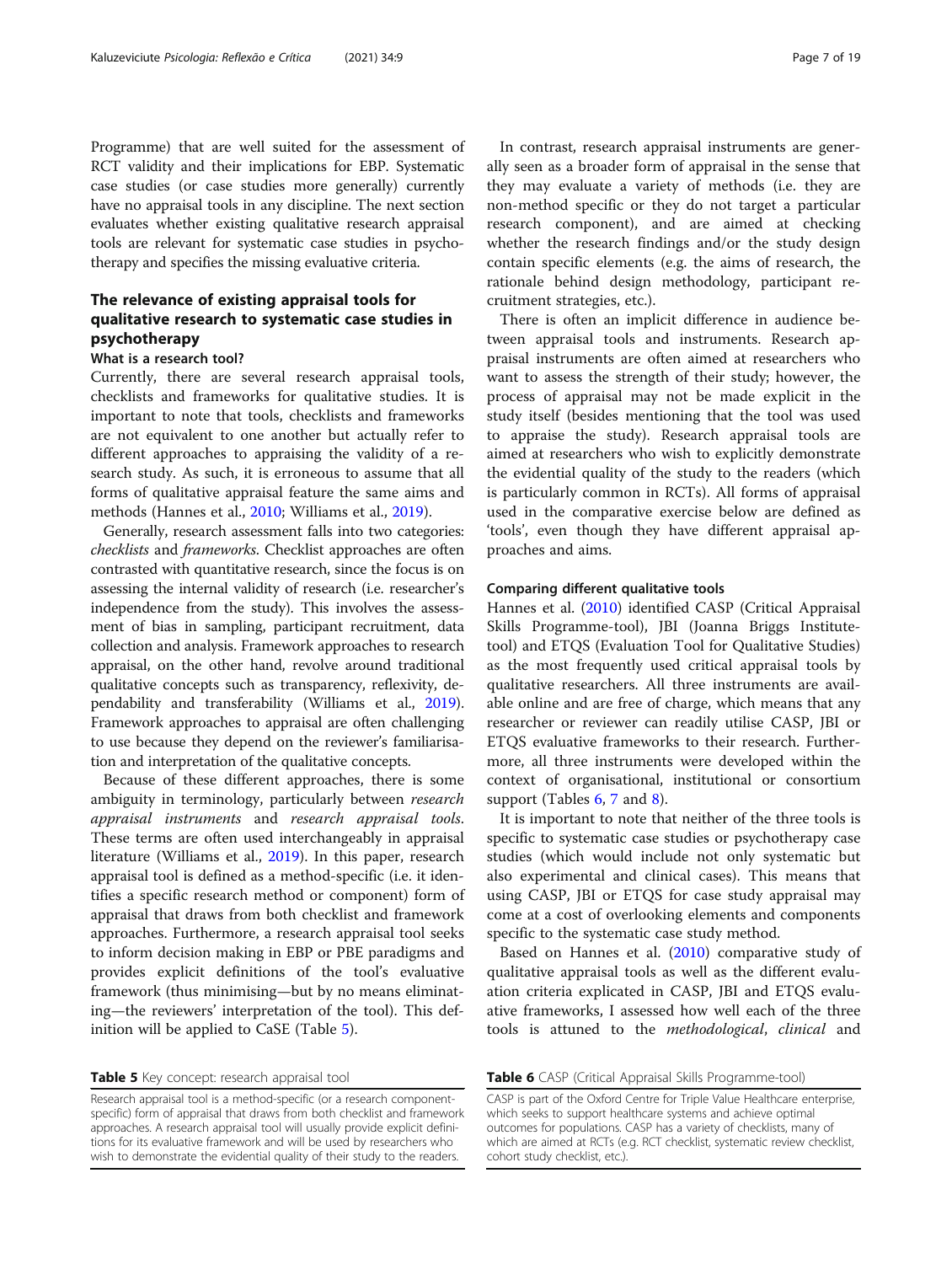Programme) that are well suited for the assessment of RCT validity and their implications for EBP. Systematic case studies (or case studies more generally) currently have no appraisal tools in any discipline. The next section evaluates whether existing qualitative research appraisal tools are relevant for systematic case studies in psychotherapy and specifies the missing evaluative criteria.

## The relevance of existing appraisal tools for qualitative research to systematic case studies in psychotherapy

#### What is a research tool?

Currently, there are several research appraisal tools, checklists and frameworks for qualitative studies. It is important to note that tools, checklists and frameworks are not equivalent to one another but actually refer to different approaches to appraising the validity of a research study. As such, it is erroneous to assume that all forms of qualitative appraisal feature the same aims and methods (Hannes et al., [2010](#page-17-0); Williams et al., [2019](#page-18-0)).

Generally, research assessment falls into two categories: checklists and frameworks. Checklist approaches are often contrasted with quantitative research, since the focus is on assessing the internal validity of research (i.e. researcher's independence from the study). This involves the assessment of bias in sampling, participant recruitment, data collection and analysis. Framework approaches to research appraisal, on the other hand, revolve around traditional qualitative concepts such as transparency, reflexivity, dependability and transferability (Williams et al., [2019](#page-18-0)). Framework approaches to appraisal are often challenging to use because they depend on the reviewer's familiarisation and interpretation of the qualitative concepts.

Because of these different approaches, there is some ambiguity in terminology, particularly between research appraisal instruments and research appraisal tools. These terms are often used interchangeably in appraisal literature (Williams et al., [2019](#page-18-0)). In this paper, research appraisal tool is defined as a method-specific (i.e. it identifies a specific research method or component) form of appraisal that draws from both checklist and framework approaches. Furthermore, a research appraisal tool seeks to inform decision making in EBP or PBE paradigms and provides explicit definitions of the tool's evaluative framework (thus minimising—but by no means eliminating—the reviewers' interpretation of the tool). This definition will be applied to CaSE (Table 5).

Table 5 Key concept: research appraisal tool

Research appraisal tool is a method-specific (or a research componentspecific) form of appraisal that draws from both checklist and framework approaches. A research appraisal tool will usually provide explicit definitions for its evaluative framework and will be used by researchers who wish to demonstrate the evidential quality of their study to the readers.

In contrast, research appraisal instruments are generally seen as a broader form of appraisal in the sense that they may evaluate a variety of methods (i.e. they are non-method specific or they do not target a particular research component), and are aimed at checking whether the research findings and/or the study design contain specific elements (e.g. the aims of research, the rationale behind design methodology, participant recruitment strategies, etc.).

There is often an implicit difference in audience between appraisal tools and instruments. Research appraisal instruments are often aimed at researchers who want to assess the strength of their study; however, the process of appraisal may not be made explicit in the study itself (besides mentioning that the tool was used to appraise the study). Research appraisal tools are aimed at researchers who wish to explicitly demonstrate the evidential quality of the study to the readers (which is particularly common in RCTs). All forms of appraisal used in the comparative exercise below are defined as 'tools', even though they have different appraisal approaches and aims.

#### Comparing different qualitative tools

Hannes et al. ([2010](#page-17-0)) identified CASP (Critical Appraisal Skills Programme-tool), JBI (Joanna Briggs Institutetool) and ETQS (Evaluation Tool for Qualitative Studies) as the most frequently used critical appraisal tools by qualitative researchers. All three instruments are available online and are free of charge, which means that any researcher or reviewer can readily utilise CASP, JBI or ETQS evaluative frameworks to their research. Furthermore, all three instruments were developed within the context of organisational, institutional or consortium support (Tables 6, [7](#page-7-0) and [8\)](#page-7-0).

It is important to note that neither of the three tools is specific to systematic case studies or psychotherapy case studies (which would include not only systematic but also experimental and clinical cases). This means that using CASP, JBI or ETQS for case study appraisal may come at a cost of overlooking elements and components specific to the systematic case study method.

Based on Hannes et al. ([2010](#page-17-0)) comparative study of qualitative appraisal tools as well as the different evaluation criteria explicated in CASP, JBI and ETQS evaluative frameworks, I assessed how well each of the three tools is attuned to the methodological, clinical and

Table 6 CASP (Critical Appraisal Skills Programme-tool)

CASP is part of the Oxford Centre for Triple Value Healthcare enterprise, which seeks to support healthcare systems and achieve optimal outcomes for populations. CASP has a variety of checklists, many of which are aimed at RCTs (e.g. RCT checklist, systematic review checklist, cohort study checklist, etc.).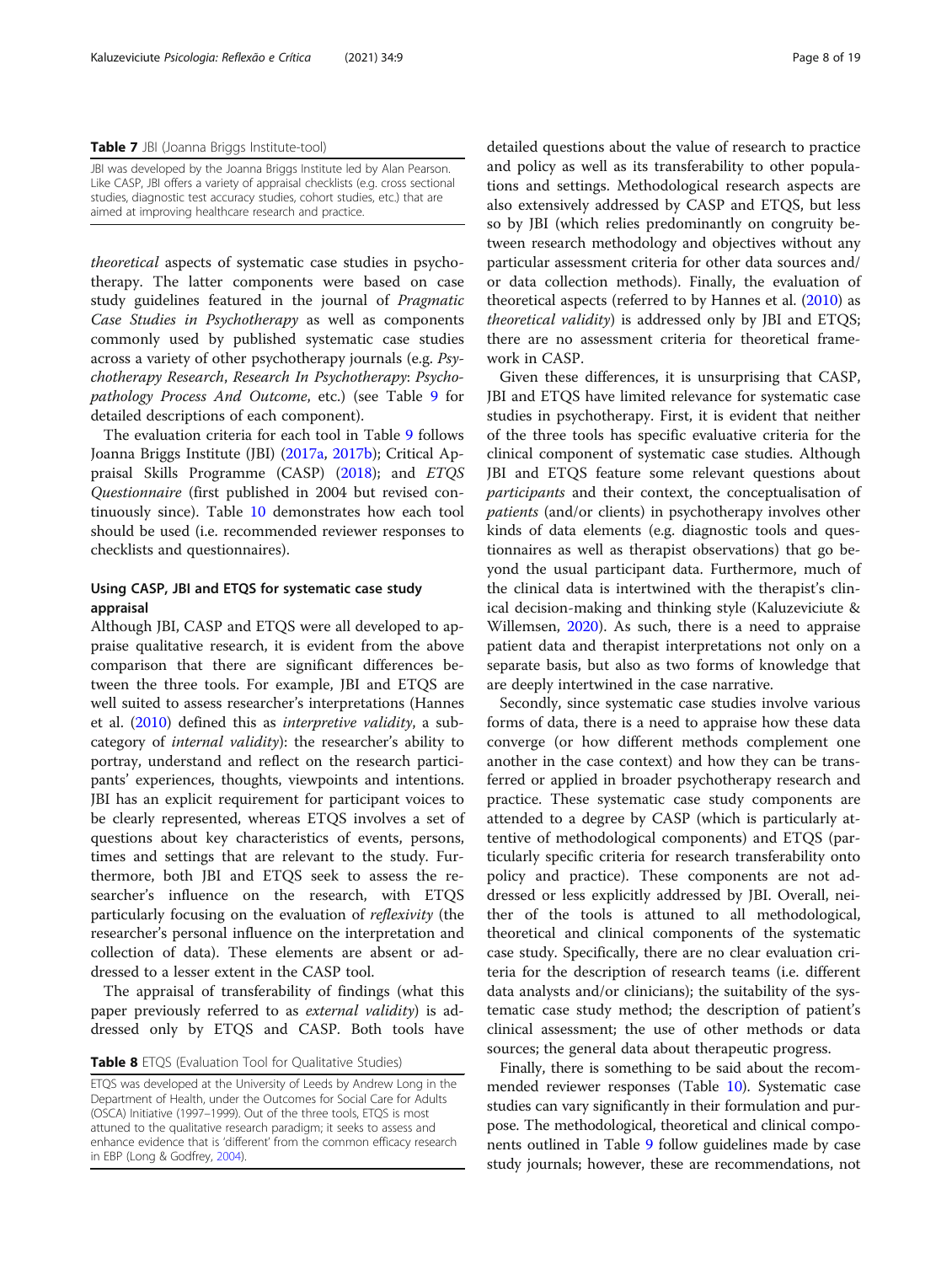<span id="page-7-0"></span>Table 7 JBI (Joanna Briggs Institute-tool)

JBI was developed by the Joanna Briggs Institute led by Alan Pearson. Like CASP, JBI offers a variety of appraisal checklists (e.g. cross sectional studies, diagnostic test accuracy studies, cohort studies, etc.) that are aimed at improving healthcare research and practice.

theoretical aspects of systematic case studies in psychotherapy. The latter components were based on case study guidelines featured in the journal of Pragmatic Case Studies in Psychotherapy as well as components commonly used by published systematic case studies across a variety of other psychotherapy journals (e.g. Psychotherapy Research, Research In Psychotherapy: Psychopathology Process And Outcome, etc.) (see Table [9](#page-8-0) for detailed descriptions of each component).

The evaluation criteria for each tool in Table [9](#page-8-0) follows Joanna Briggs Institute (JBI) ([2017a,](#page-17-0) [2017b\)](#page-17-0); Critical Appraisal Skills Programme (CASP) [\(2018\)](#page-17-0); and ETQS Questionnaire (first published in 2004 but revised continuously since). Table [10](#page-9-0) demonstrates how each tool should be used (i.e. recommended reviewer responses to checklists and questionnaires).

## Using CASP, JBI and ETQS for systematic case study appraisal

Although JBI, CASP and ETQS were all developed to appraise qualitative research, it is evident from the above comparison that there are significant differences between the three tools. For example, JBI and ETQS are well suited to assess researcher's interpretations (Hannes et al. ([2010](#page-17-0)) defined this as interpretive validity, a subcategory of internal validity): the researcher's ability to portray, understand and reflect on the research participants' experiences, thoughts, viewpoints and intentions. JBI has an explicit requirement for participant voices to be clearly represented, whereas ETQS involves a set of questions about key characteristics of events, persons, times and settings that are relevant to the study. Furthermore, both JBI and ETQS seek to assess the researcher's influence on the research, with ETQS particularly focusing on the evaluation of reflexivity (the researcher's personal influence on the interpretation and collection of data). These elements are absent or addressed to a lesser extent in the CASP tool.

The appraisal of transferability of findings (what this paper previously referred to as external validity) is addressed only by ETQS and CASP. Both tools have

Table 8 ETQS (Evaluation Tool for Qualitative Studies)

ETQS was developed at the University of Leeds by Andrew Long in the Department of Health, under the Outcomes for Social Care for Adults (OSCA) Initiative (1997–1999). Out of the three tools, ETQS is most attuned to the qualitative research paradigm; it seeks to assess and enhance evidence that is 'different' from the common efficacy research in EBP (Long & Godfrey, [2004\)](#page-18-0).

detailed questions about the value of research to practice and policy as well as its transferability to other populations and settings. Methodological research aspects are also extensively addressed by CASP and ETQS, but less so by JBI (which relies predominantly on congruity between research methodology and objectives without any particular assessment criteria for other data sources and/ or data collection methods). Finally, the evaluation of theoretical aspects (referred to by Hannes et al. ([2010](#page-17-0)) as theoretical validity) is addressed only by JBI and ETQS; there are no assessment criteria for theoretical framework in CASP.

Given these differences, it is unsurprising that CASP, JBI and ETQS have limited relevance for systematic case studies in psychotherapy. First, it is evident that neither of the three tools has specific evaluative criteria for the clinical component of systematic case studies. Although JBI and ETQS feature some relevant questions about participants and their context, the conceptualisation of patients (and/or clients) in psychotherapy involves other kinds of data elements (e.g. diagnostic tools and questionnaires as well as therapist observations) that go beyond the usual participant data. Furthermore, much of the clinical data is intertwined with the therapist's clinical decision-making and thinking style (Kaluzeviciute & Willemsen, [2020\)](#page-17-0). As such, there is a need to appraise patient data and therapist interpretations not only on a separate basis, but also as two forms of knowledge that are deeply intertwined in the case narrative.

Secondly, since systematic case studies involve various forms of data, there is a need to appraise how these data converge (or how different methods complement one another in the case context) and how they can be transferred or applied in broader psychotherapy research and practice. These systematic case study components are attended to a degree by CASP (which is particularly attentive of methodological components) and ETQS (particularly specific criteria for research transferability onto policy and practice). These components are not addressed or less explicitly addressed by JBI. Overall, neither of the tools is attuned to all methodological, theoretical and clinical components of the systematic case study. Specifically, there are no clear evaluation criteria for the description of research teams (i.e. different data analysts and/or clinicians); the suitability of the systematic case study method; the description of patient's clinical assessment; the use of other methods or data sources; the general data about therapeutic progress.

Finally, there is something to be said about the recommended reviewer responses (Table [10](#page-9-0)). Systematic case studies can vary significantly in their formulation and purpose. The methodological, theoretical and clinical components outlined in Table [9](#page-8-0) follow guidelines made by case study journals; however, these are recommendations, not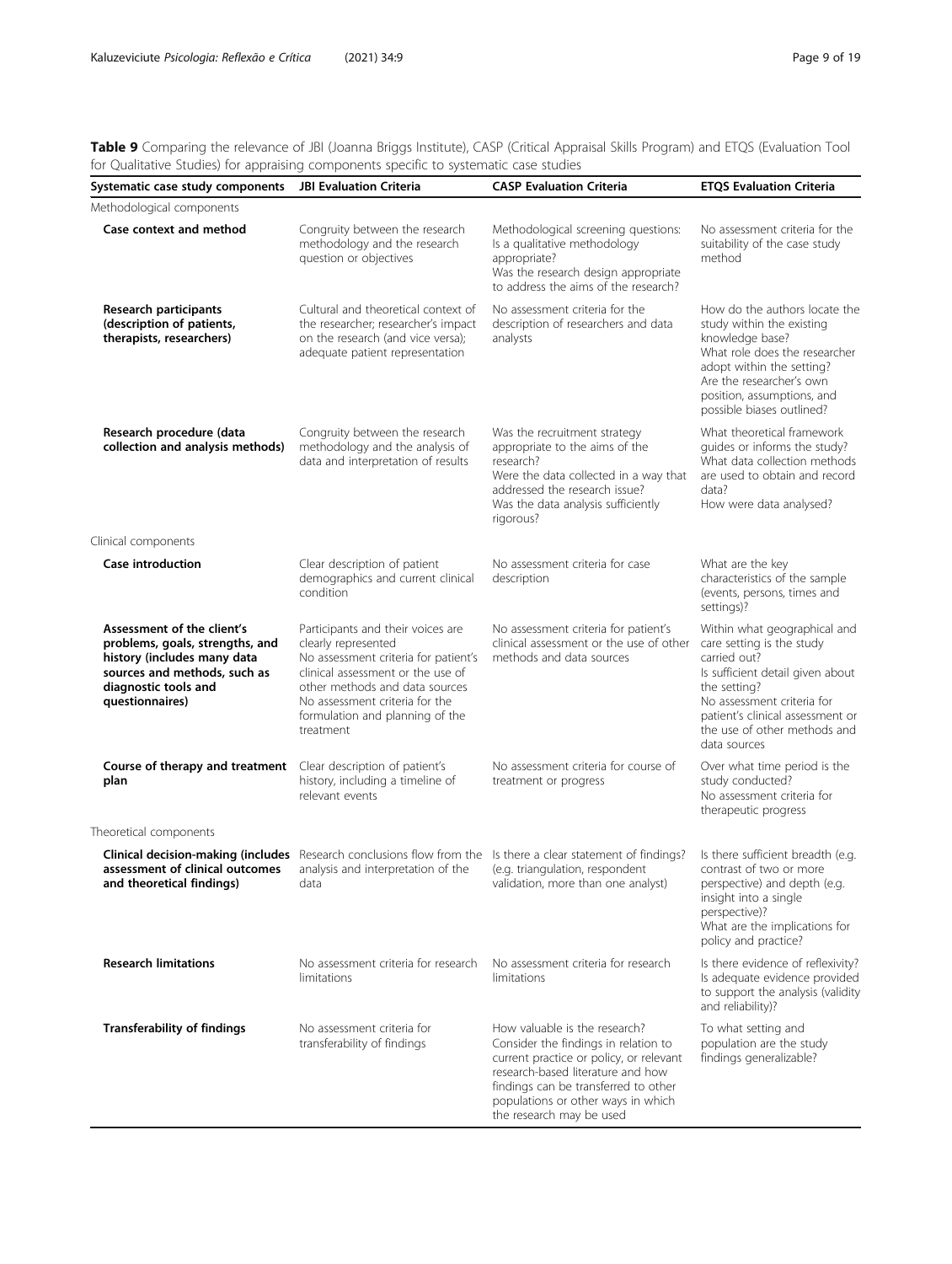<span id="page-8-0"></span>Table 9 Comparing the relevance of JBI (Joanna Briggs Institute), CASP (Critical Appraisal Skills Program) and ETQS (Evaluation Tool for Qualitative Studies) for appraising components specific to systematic case studies

| Systematic case study components                                                                                                                                        | <b>JBI Evaluation Criteria</b>                                                                                                                                                                                                                            | <b>CASP Evaluation Criteria</b>                                                                                                                                                                                                                                 | <b>ETQS Evaluation Criteria</b>                                                                                                                                                                                                                 |
|-------------------------------------------------------------------------------------------------------------------------------------------------------------------------|-----------------------------------------------------------------------------------------------------------------------------------------------------------------------------------------------------------------------------------------------------------|-----------------------------------------------------------------------------------------------------------------------------------------------------------------------------------------------------------------------------------------------------------------|-------------------------------------------------------------------------------------------------------------------------------------------------------------------------------------------------------------------------------------------------|
| Methodological components                                                                                                                                               |                                                                                                                                                                                                                                                           |                                                                                                                                                                                                                                                                 |                                                                                                                                                                                                                                                 |
| Case context and method                                                                                                                                                 | Congruity between the research<br>methodology and the research<br>question or objectives                                                                                                                                                                  | Methodological screening questions:<br>Is a qualitative methodology<br>appropriate?<br>Was the research design appropriate<br>to address the aims of the research?                                                                                              | No assessment criteria for the<br>suitability of the case study<br>method                                                                                                                                                                       |
| Research participants<br>(description of patients,<br>therapists, researchers)                                                                                          | Cultural and theoretical context of<br>the researcher; researcher's impact<br>on the research (and vice versa);<br>adequate patient representation                                                                                                        | No assessment criteria for the<br>description of researchers and data<br>analysts                                                                                                                                                                               | How do the authors locate the<br>study within the existing<br>knowledge base?<br>What role does the researcher<br>adopt within the setting?<br>Are the researcher's own<br>position, assumptions, and<br>possible biases outlined?              |
| Research procedure (data<br>collection and analysis methods)                                                                                                            | Congruity between the research<br>methodology and the analysis of<br>data and interpretation of results                                                                                                                                                   | Was the recruitment strategy<br>appropriate to the aims of the<br>research?<br>Were the data collected in a way that<br>addressed the research issue?<br>Was the data analysis sufficiently<br>rigorous?                                                        | What theoretical framework<br>quides or informs the study?<br>What data collection methods<br>are used to obtain and record<br>data?<br>How were data analysed?                                                                                 |
| Clinical components                                                                                                                                                     |                                                                                                                                                                                                                                                           |                                                                                                                                                                                                                                                                 |                                                                                                                                                                                                                                                 |
| <b>Case introduction</b>                                                                                                                                                | Clear description of patient<br>demographics and current clinical<br>condition                                                                                                                                                                            | No assessment criteria for case<br>description                                                                                                                                                                                                                  | What are the key<br>characteristics of the sample<br>(events, persons, times and<br>settings)?                                                                                                                                                  |
| Assessment of the client's<br>problems, goals, strengths, and<br>history (includes many data<br>sources and methods, such as<br>diagnostic tools and<br>questionnaires) | Participants and their voices are<br>clearly represented<br>No assessment criteria for patient's<br>clinical assessment or the use of<br>other methods and data sources<br>No assessment criteria for the<br>formulation and planning of the<br>treatment | No assessment criteria for patient's<br>clinical assessment or the use of other<br>methods and data sources                                                                                                                                                     | Within what geographical and<br>care setting is the study<br>carried out?<br>Is sufficient detail given about<br>the setting?<br>No assessment criteria for<br>patient's clinical assessment or<br>the use of other methods and<br>data sources |
| Course of therapy and treatment<br>plan                                                                                                                                 | Clear description of patient's<br>history, including a timeline of<br>relevant events                                                                                                                                                                     | No assessment criteria for course of<br>treatment or progress                                                                                                                                                                                                   | Over what time period is the<br>study conducted?<br>No assessment criteria for<br>therapeutic progress                                                                                                                                          |
| Theoretical components                                                                                                                                                  |                                                                                                                                                                                                                                                           |                                                                                                                                                                                                                                                                 |                                                                                                                                                                                                                                                 |
| <b>Clinical decision-making (includes</b> Research conclusions flow from the<br>assessment of clinical outcomes<br>and theoretical findings)                            | analysis and interpretation of the<br>data                                                                                                                                                                                                                | Is there a clear statement of findings?<br>(e.g. triangulation, respondent<br>validation, more than one analyst)                                                                                                                                                | Is there sufficient breadth (e.g.<br>contrast of two or more<br>perspective) and depth (e.g.<br>insight into a single<br>perspective)?<br>What are the implications for<br>policy and practice?                                                 |
| <b>Research limitations</b>                                                                                                                                             | No assessment criteria for research<br>limitations                                                                                                                                                                                                        | No assessment criteria for research<br>limitations                                                                                                                                                                                                              | Is there evidence of reflexivity?<br>Is adequate evidence provided<br>to support the analysis (validity<br>and reliability)?                                                                                                                    |
| <b>Transferability of findings</b>                                                                                                                                      | No assessment criteria for<br>transferability of findings                                                                                                                                                                                                 | How valuable is the research?<br>Consider the findings in relation to<br>current practice or policy, or relevant<br>research-based literature and how<br>findings can be transferred to other<br>populations or other ways in which<br>the research may be used | To what setting and<br>population are the study<br>findings generalizable?                                                                                                                                                                      |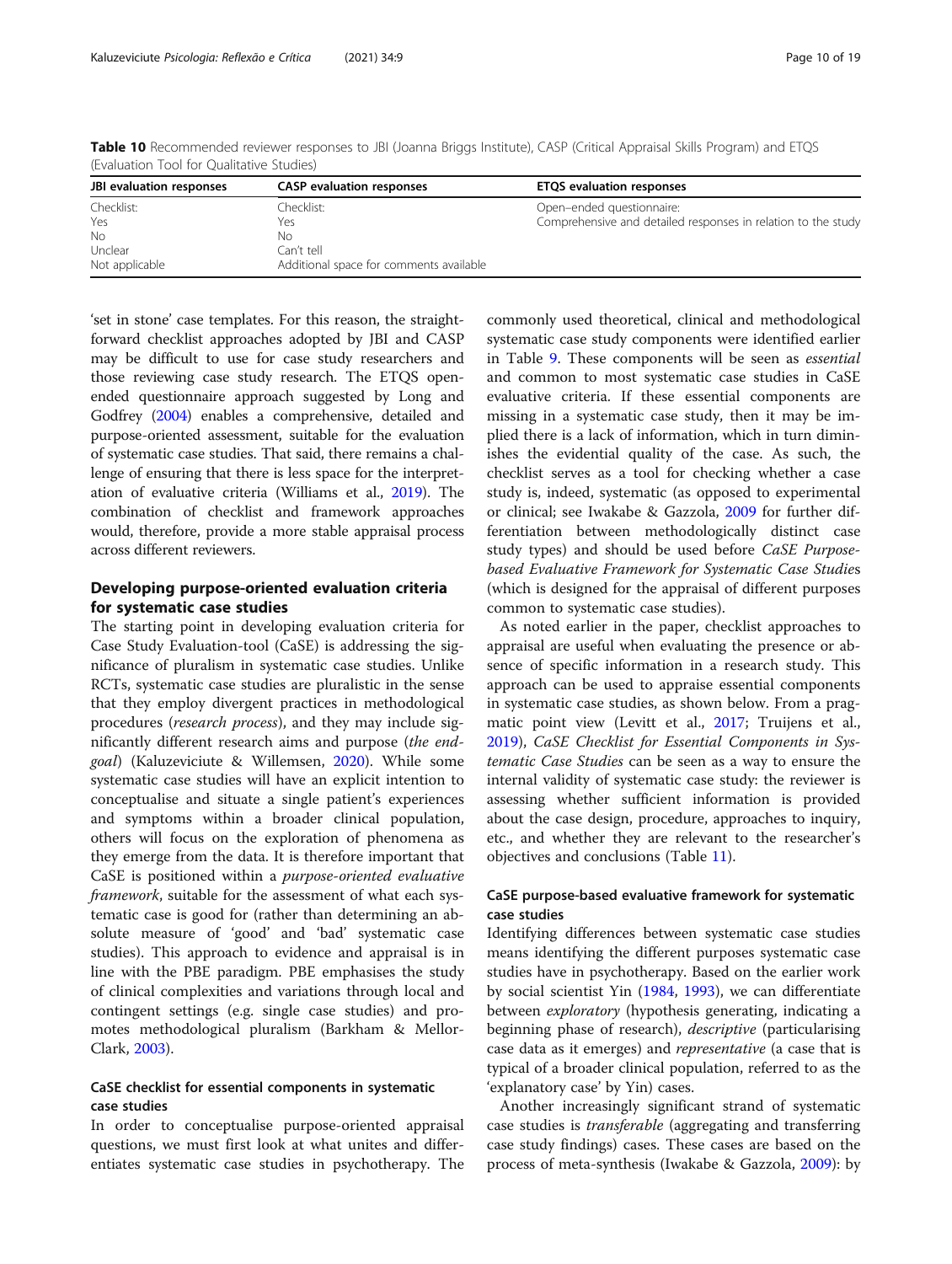| JBI evaluation responses | <b>CASP</b> evaluation responses        | <b>ETQS</b> evaluation responses                              |
|--------------------------|-----------------------------------------|---------------------------------------------------------------|
| Checklist:               | Checklist: .                            | Open-ended questionnaire:                                     |
| Yes                      | Yeς                                     | Comprehensive and detailed responses in relation to the study |
| No                       | Νo                                      |                                                               |
| Unclear                  | Can't tell                              |                                                               |
| Not applicable           | Additional space for comments available |                                                               |

<span id="page-9-0"></span>Table 10 Recommended reviewer responses to JBI (Joanna Briggs Institute), CASP (Critical Appraisal Skills Program) and ETQS (Evaluation Tool for Qualitative Studies)

'set in stone' case templates. For this reason, the straightforward checklist approaches adopted by JBI and CASP may be difficult to use for case study researchers and those reviewing case study research. The ETQS openended questionnaire approach suggested by Long and Godfrey ([2004](#page-18-0)) enables a comprehensive, detailed and purpose-oriented assessment, suitable for the evaluation of systematic case studies. That said, there remains a challenge of ensuring that there is less space for the interpretation of evaluative criteria (Williams et al., [2019](#page-18-0)). The combination of checklist and framework approaches would, therefore, provide a more stable appraisal process across different reviewers.

## Developing purpose-oriented evaluation criteria for systematic case studies

The starting point in developing evaluation criteria for Case Study Evaluation-tool (CaSE) is addressing the significance of pluralism in systematic case studies. Unlike RCTs, systematic case studies are pluralistic in the sense that they employ divergent practices in methodological procedures (research process), and they may include significantly different research aims and purpose (the endgoal) (Kaluzeviciute & Willemsen, [2020](#page-17-0)). While some systematic case studies will have an explicit intention to conceptualise and situate a single patient's experiences and symptoms within a broader clinical population, others will focus on the exploration of phenomena as they emerge from the data. It is therefore important that CaSE is positioned within a purpose-oriented evaluative framework, suitable for the assessment of what each systematic case is good for (rather than determining an absolute measure of 'good' and 'bad' systematic case studies). This approach to evidence and appraisal is in line with the PBE paradigm. PBE emphasises the study of clinical complexities and variations through local and contingent settings (e.g. single case studies) and promotes methodological pluralism (Barkham & Mellor-Clark, [2003\)](#page-17-0).

## CaSE checklist for essential components in systematic case studies

In order to conceptualise purpose-oriented appraisal questions, we must first look at what unites and differentiates systematic case studies in psychotherapy. The

commonly used theoretical, clinical and methodological systematic case study components were identified earlier in Table [9.](#page-8-0) These components will be seen as essential and common to most systematic case studies in CaSE evaluative criteria. If these essential components are missing in a systematic case study, then it may be implied there is a lack of information, which in turn diminishes the evidential quality of the case. As such, the checklist serves as a tool for checking whether a case study is, indeed, systematic (as opposed to experimental or clinical; see Iwakabe & Gazzola, [2009](#page-17-0) for further differentiation between methodologically distinct case study types) and should be used before CaSE Purposebased Evaluative Framework for Systematic Case Studies (which is designed for the appraisal of different purposes common to systematic case studies).

As noted earlier in the paper, checklist approaches to appraisal are useful when evaluating the presence or absence of specific information in a research study. This approach can be used to appraise essential components in systematic case studies, as shown below. From a pragmatic point view (Levitt et al., [2017](#page-18-0); Truijens et al., [2019](#page-18-0)), CaSE Checklist for Essential Components in Systematic Case Studies can be seen as a way to ensure the internal validity of systematic case study: the reviewer is assessing whether sufficient information is provided about the case design, procedure, approaches to inquiry, etc., and whether they are relevant to the researcher's objectives and conclusions (Table [11](#page-10-0)).

## CaSE purpose-based evaluative framework for systematic case studies

Identifying differences between systematic case studies means identifying the different purposes systematic case studies have in psychotherapy. Based on the earlier work by social scientist Yin [\(1984](#page-18-0), [1993\)](#page-18-0), we can differentiate between *exploratory* (hypothesis generating, indicating a beginning phase of research), *descriptive* (particularising case data as it emerges) and representative (a case that is typical of a broader clinical population, referred to as the 'explanatory case' by Yin) cases.

Another increasingly significant strand of systematic case studies is transferable (aggregating and transferring case study findings) cases. These cases are based on the process of meta-synthesis (Iwakabe & Gazzola, [2009](#page-17-0)): by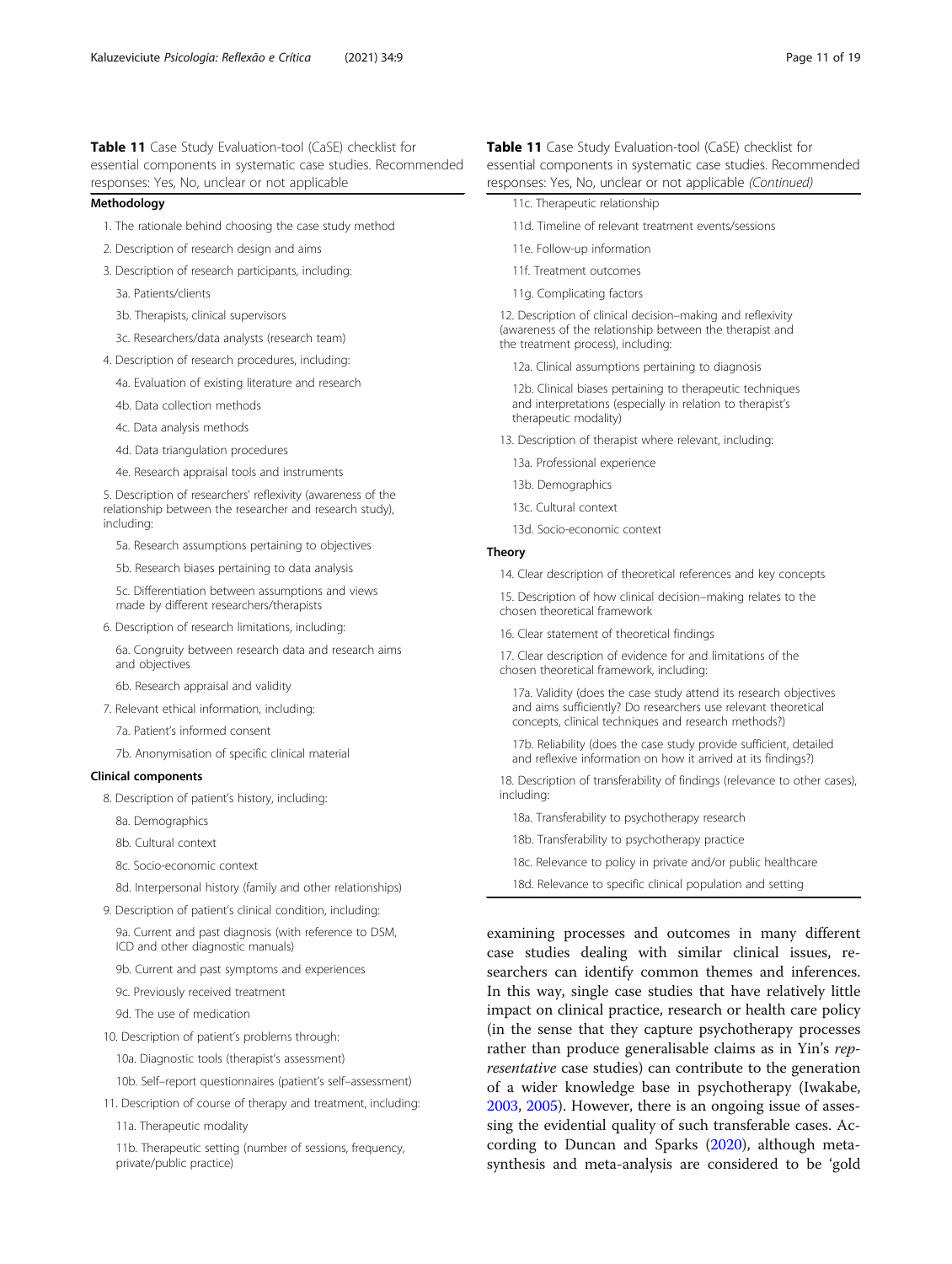<span id="page-10-0"></span>Table 11 Case Study Evaluation-tool (CaSE) checklist for essential components in systematic case studies. Recommended responses: Yes, No, unclear or not applicable

#### Methodology

- 1. The rationale behind choosing the case study method
- 2. Description of research design and aims
- 3. Description of research participants, including:
	- 3a. Patients/clients
	- 3b. Therapists, clinical supervisors
	- 3c. Researchers/data analysts (research team)
- 4. Description of research procedures, including:
	- 4a. Evaluation of existing literature and research
	- 4b. Data collection methods
	- 4c. Data analysis methods
	- 4d. Data triangulation procedures
	- 4e. Research appraisal tools and instruments

5. Description of researchers' reflexivity (awareness of the relationship between the researcher and research study), including:

5a. Research assumptions pertaining to objectives

5b. Research biases pertaining to data analysis

5c. Differentiation between assumptions and views made by different researchers/therapists

6. Description of research limitations, including:

6a. Congruity between research data and research aims and objectives

6b. Research appraisal and validity

- 7. Relevant ethical information, including:
	- 7a. Patient's informed consent
	- 7b. Anonymisation of specific clinical material

#### Clinical components

- 8. Description of patient's history, including:
	- 8a. Demographics
	- 8b. Cultural context
	- 8c. Socio-economic context
	- 8d. Interpersonal history (family and other relationships)
- 9. Description of patient's clinical condition, including:

9a. Current and past diagnosis (with reference to DSM, ICD and other diagnostic manuals)

- 9b. Current and past symptoms and experiences
- 9c. Previously received treatment
- 9d. The use of medication
- 10. Description of patient's problems through:
	- 10a. Diagnostic tools (therapist's assessment)
	- 10b. Self–report questionnaires (patient's self–assessment)
- 11. Description of course of therapy and treatment, including: 11a. Therapeutic modality

11b. Therapeutic setting (number of sessions, frequency, private/public practice)

Table 11 Case Study Evaluation-tool (CaSE) checklist for essential components in systematic case studies. Recommended responses: Yes, No, unclear or not applicable (Continued)

- 11c. Therapeutic relationship
- 11d. Timeline of relevant treatment events/sessions
- 11e. Follow-up information
- 11f. Treatment outcomes
- 11g. Complicating factors

12. Description of clinical decision–making and reflexivity (awareness of the relationship between the therapist and the treatment process), including:

12a. Clinical assumptions pertaining to diagnosis

12b. Clinical biases pertaining to therapeutic techniques and interpretations (especially in relation to therapist's therapeutic modality)

- 13. Description of therapist where relevant, including:
	- 13a. Professional experience
	- 13b. Demographics
	- 13c. Cultural context
	- 13d. Socio-economic context

## Theory

14. Clear description of theoretical references and key concepts

15. Description of how clinical decision–making relates to the chosen theoretical framework

16. Clear statement of theoretical findings

17. Clear description of evidence for and limitations of the chosen theoretical framework, including:

17a. Validity (does the case study attend its research objectives and aims sufficiently? Do researchers use relevant theoretical concepts, clinical techniques and research methods?)

17b. Reliability (does the case study provide sufficient, detailed and reflexive information on how it arrived at its findings?)

18. Description of transferability of findings (relevance to other cases), including:

- 18a. Transferability to psychotherapy research
- 18b. Transferability to psychotherapy practice
- 18c. Relevance to policy in private and/or public healthcare
- 18d. Relevance to specific clinical population and setting

examining processes and outcomes in many different case studies dealing with similar clinical issues, researchers can identify common themes and inferences. In this way, single case studies that have relatively little impact on clinical practice, research or health care policy (in the sense that they capture psychotherapy processes rather than produce generalisable claims as in Yin's representative case studies) can contribute to the generation of a wider knowledge base in psychotherapy (Iwakabe, [2003](#page-17-0), [2005](#page-17-0)). However, there is an ongoing issue of assessing the evidential quality of such transferable cases. According to Duncan and Sparks ([2020](#page-17-0)), although metasynthesis and meta-analysis are considered to be 'gold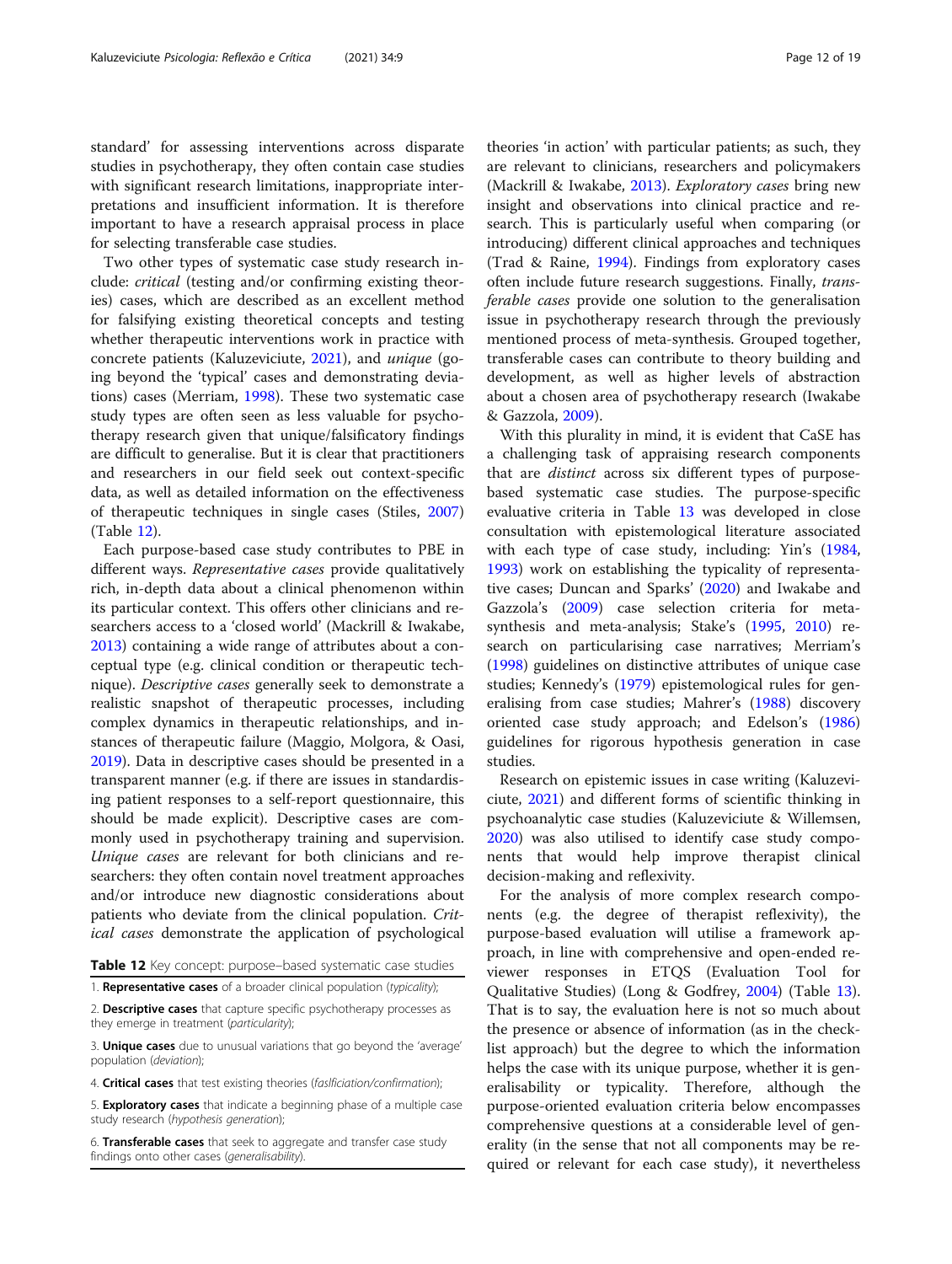<span id="page-11-0"></span>standard' for assessing interventions across disparate studies in psychotherapy, they often contain case studies with significant research limitations, inappropriate interpretations and insufficient information. It is therefore important to have a research appraisal process in place for selecting transferable case studies.

Two other types of systematic case study research include: critical (testing and/or confirming existing theories) cases, which are described as an excellent method for falsifying existing theoretical concepts and testing whether therapeutic interventions work in practice with concrete patients (Kaluzeviciute, [2021](#page-17-0)), and unique (going beyond the 'typical' cases and demonstrating deviations) cases (Merriam, [1998](#page-18-0)). These two systematic case study types are often seen as less valuable for psychotherapy research given that unique/falsificatory findings are difficult to generalise. But it is clear that practitioners and researchers in our field seek out context-specific data, as well as detailed information on the effectiveness of therapeutic techniques in single cases (Stiles, [2007](#page-18-0)) (Table 12).

Each purpose-based case study contributes to PBE in different ways. Representative cases provide qualitatively rich, in-depth data about a clinical phenomenon within its particular context. This offers other clinicians and researchers access to a 'closed world' (Mackrill & Iwakabe, [2013](#page-18-0)) containing a wide range of attributes about a conceptual type (e.g. clinical condition or therapeutic technique). Descriptive cases generally seek to demonstrate a realistic snapshot of therapeutic processes, including complex dynamics in therapeutic relationships, and instances of therapeutic failure (Maggio, Molgora, & Oasi, [2019](#page-18-0)). Data in descriptive cases should be presented in a transparent manner (e.g. if there are issues in standardising patient responses to a self-report questionnaire, this should be made explicit). Descriptive cases are commonly used in psychotherapy training and supervision. Unique cases are relevant for both clinicians and researchers: they often contain novel treatment approaches and/or introduce new diagnostic considerations about patients who deviate from the clinical population. Critical cases demonstrate the application of psychological

Table 12 Key concept: purpose-based systematic case studies

1. Representative cases of a broader clinical population (typicality);

2. Descriptive cases that capture specific psychotherapy processes as they emerge in treatment (particularity);

3. Unique cases due to unusual variations that go beyond the 'average' population (deviation);

4. Critical cases that test existing theories (fasificiation/confirmation);

5. Exploratory cases that indicate a beginning phase of a multiple case study research (hypothesis generation);

6. Transferable cases that seek to aggregate and transfer case study findings onto other cases (generalisability).

theories 'in action' with particular patients; as such, they are relevant to clinicians, researchers and policymakers (Mackrill & Iwakabe, [2013](#page-18-0)). Exploratory cases bring new insight and observations into clinical practice and research. This is particularly useful when comparing (or introducing) different clinical approaches and techniques (Trad & Raine, [1994](#page-18-0)). Findings from exploratory cases often include future research suggestions. Finally, transferable cases provide one solution to the generalisation issue in psychotherapy research through the previously mentioned process of meta-synthesis. Grouped together, transferable cases can contribute to theory building and development, as well as higher levels of abstraction about a chosen area of psychotherapy research (Iwakabe & Gazzola, [2009\)](#page-17-0).

With this plurality in mind, it is evident that CaSE has a challenging task of appraising research components that are distinct across six different types of purposebased systematic case studies. The purpose-specific evaluative criteria in Table [13](#page-12-0) was developed in close consultation with epistemological literature associated with each type of case study, including: Yin's ([1984](#page-18-0), [1993](#page-18-0)) work on establishing the typicality of representative cases; Duncan and Sparks' ([2020](#page-17-0)) and Iwakabe and Gazzola's ([2009](#page-17-0)) case selection criteria for metasynthesis and meta-analysis; Stake's ([1995](#page-18-0), [2010](#page-18-0)) research on particularising case narratives; Merriam's ([1998\)](#page-18-0) guidelines on distinctive attributes of unique case studies; Kennedy's ([1979](#page-17-0)) epistemological rules for generalising from case studies; Mahrer's [\(1988\)](#page-18-0) discovery oriented case study approach; and Edelson's ([1986](#page-17-0)) guidelines for rigorous hypothesis generation in case studies.

Research on epistemic issues in case writing (Kaluzeviciute, [2021](#page-17-0)) and different forms of scientific thinking in psychoanalytic case studies (Kaluzeviciute & Willemsen, [2020](#page-17-0)) was also utilised to identify case study components that would help improve therapist clinical decision-making and reflexivity.

For the analysis of more complex research components (e.g. the degree of therapist reflexivity), the purpose-based evaluation will utilise a framework approach, in line with comprehensive and open-ended reviewer responses in ETQS (Evaluation Tool for Qualitative Studies) (Long & Godfrey, [2004\)](#page-18-0) (Table [13](#page-12-0)). That is to say, the evaluation here is not so much about the presence or absence of information (as in the checklist approach) but the degree to which the information helps the case with its unique purpose, whether it is generalisability or typicality. Therefore, although the purpose-oriented evaluation criteria below encompasses comprehensive questions at a considerable level of generality (in the sense that not all components may be required or relevant for each case study), it nevertheless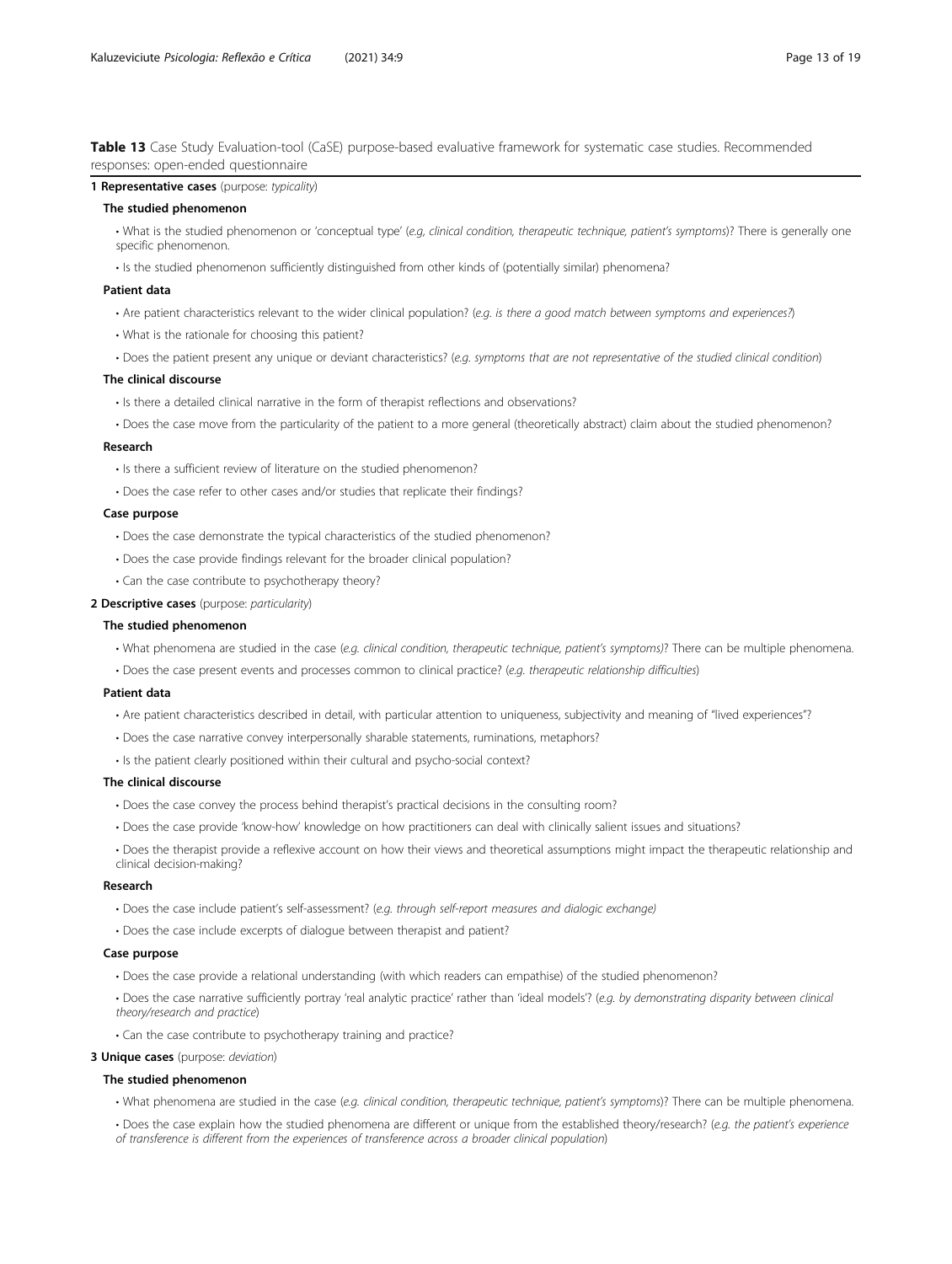<span id="page-12-0"></span>Table 13 Case Study Evaluation-tool (CaSE) purpose-based evaluative framework for systematic case studies. Recommended responses: open-ended questionnaire

#### 1 Representative cases (purpose: typicality)

## The studied phenomenon

- What is the studied phenomenon or 'conceptual type' (e.g, clinical condition, therapeutic technique, patient's symptoms)? There is generally one specific phenomenon.
- Is the studied phenomenon sufficiently distinguished from other kinds of (potentially similar) phenomena?

#### Patient data

- Are patient characteristics relevant to the wider clinical population? (e.g. is there a good match between symptoms and experiences?)
- What is the rationale for choosing this patient?
- Does the patient present any unique or deviant characteristics? (e.g. symptoms that are not representative of the studied clinical condition)

#### The clinical discourse

- Is there a detailed clinical narrative in the form of therapist reflections and observations?
- Does the case move from the particularity of the patient to a more general (theoretically abstract) claim about the studied phenomenon?

#### Research

- Is there a sufficient review of literature on the studied phenomenon?
- Does the case refer to other cases and/or studies that replicate their findings?

#### Case purpose

- Does the case demonstrate the typical characteristics of the studied phenomenon?
- Does the case provide findings relevant for the broader clinical population?
- Can the case contribute to psychotherapy theory?
- 2 Descriptive cases (purpose: particularity)

#### The studied phenomenon

- What phenomena are studied in the case (e.g. clinical condition, therapeutic technique, patient's symptoms)? There can be multiple phenomena.
- Does the case present events and processes common to clinical practice? (e.g. therapeutic relationship difficulties)

#### Patient data

- Are patient characteristics described in detail, with particular attention to uniqueness, subjectivity and meaning of "lived experiences"?
- Does the case narrative convey interpersonally sharable statements, ruminations, metaphors?
- Is the patient clearly positioned within their cultural and psycho-social context?

#### The clinical discourse

- Does the case convey the process behind therapist's practical decisions in the consulting room?
- Does the case provide 'know-how' knowledge on how practitioners can deal with clinically salient issues and situations?
- Does the therapist provide a reflexive account on how their views and theoretical assumptions might impact the therapeutic relationship and clinical decision-making?

#### Research

- Does the case include patient's self-assessment? (e.g. through self-report measures and dialogic exchange)
- Does the case include excerpts of dialogue between therapist and patient?

#### Case purpose

- Does the case provide a relational understanding (with which readers can empathise) of the studied phenomenon?
- Does the case narrative sufficiently portray 'real analytic practice' rather than 'ideal models'? (e.q. by demonstrating disparity between clinical theory/research and practice)
- Can the case contribute to psychotherapy training and practice?

#### 3 Unique cases (purpose: deviation)

#### The studied phenomenon

- What phenomena are studied in the case (e.g. clinical condition, therapeutic technique, patient's symptoms)? There can be multiple phenomena.
- Does the case explain how the studied phenomena are different or unique from the established theory/research? (e.g. the patient's experience of transference is different from the experiences of transference across a broader clinical population)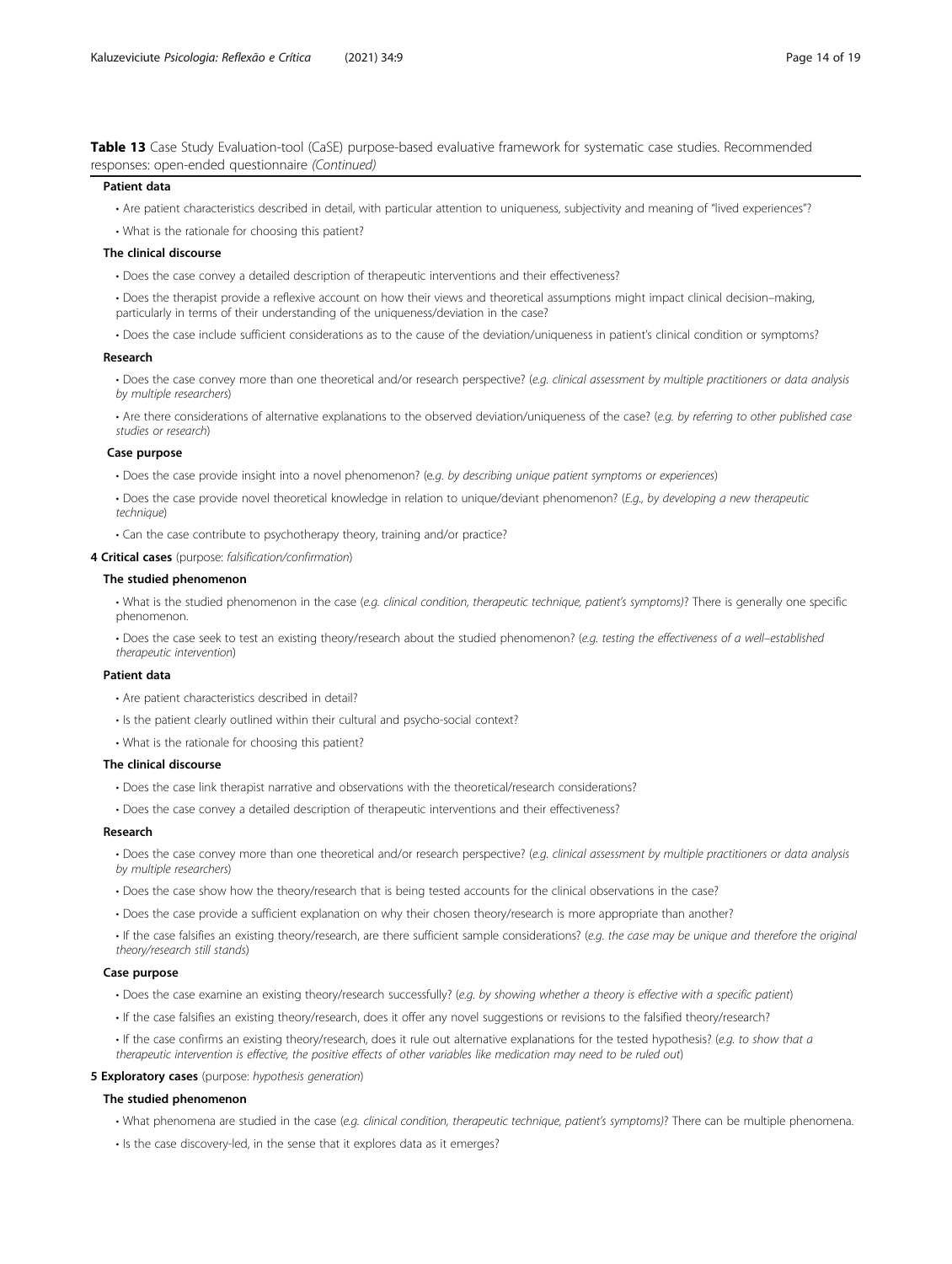Table 13 Case Study Evaluation-tool (CaSE) purpose-based evaluative framework for systematic case studies. Recommended responses: open-ended questionnaire (Continued)

#### Patient data

- Are patient characteristics described in detail, with particular attention to uniqueness, subjectivity and meaning of "lived experiences"?
- What is the rationale for choosing this patient?

#### The clinical discourse

- Does the case convey a detailed description of therapeutic interventions and their effectiveness?
- Does the therapist provide a reflexive account on how their views and theoretical assumptions might impact clinical decision–making, particularly in terms of their understanding of the uniqueness/deviation in the case?
- Does the case include sufficient considerations as to the cause of the deviation/uniqueness in patient's clinical condition or symptoms?

#### Research

• Does the case convey more than one theoretical and/or research perspective? (e.g. clinical assessment by multiple practitioners or data analysis by multiple researchers)

• Are there considerations of alternative explanations to the observed deviation/uniqueness of the case? (e.g. by referring to other published case studies or research)

#### Case purpose

- Does the case provide insight into a novel phenomenon? (e.g. by describing unique patient symptoms or experiences)
- Does the case provide novel theoretical knowledge in relation to unique/deviant phenomenon? (E.q., by developing a new therapeutic technique)
- Can the case contribute to psychotherapy theory, training and/or practice?
- 4 Critical cases (purpose: falsification/confirmation)

#### The studied phenomenon

• What is the studied phenomenon in the case (e.g. clinical condition, therapeutic technique, patient's symptoms)? There is generally one specific phenomenon.

• Does the case seek to test an existing theory/research about the studied phenomenon? (e.g. testing the effectiveness of a well–established therapeutic intervention)

#### Patient data

- Are patient characteristics described in detail?
- Is the patient clearly outlined within their cultural and psycho-social context?
- What is the rationale for choosing this patient?

#### The clinical discourse

- Does the case link therapist narrative and observations with the theoretical/research considerations?
- Does the case convey a detailed description of therapeutic interventions and their effectiveness?

#### Research

- Does the case convey more than one theoretical and/or research perspective? (e.g. clinical assessment by multiple practitioners or data analysis by multiple researchers)
- Does the case show how the theory/research that is being tested accounts for the clinical observations in the case?
- Does the case provide a sufficient explanation on why their chosen theory/research is more appropriate than another?
- If the case falsifies an existing theory/research, are there sufficient sample considerations? (e.g. the case may be unique and therefore the original theory/research still stands)

#### Case purpose

- Does the case examine an existing theory/research successfully? (e.g. by showing whether a theory is effective with a specific patient)
- If the case falsifies an existing theory/research, does it offer any novel suggestions or revisions to the falsified theory/research?
- If the case confirms an existing theory/research, does it rule out alternative explanations for the tested hypothesis? (e.g. to show that a therapeutic intervention is effective, the positive effects of other variables like medication may need to be ruled out)

#### 5 Exploratory cases (purpose: hypothesis generation)

#### The studied phenomenon

- What phenomena are studied in the case (e.g. clinical condition, therapeutic technique, patient's symptoms)? There can be multiple phenomena.
- Is the case discovery-led, in the sense that it explores data as it emerges?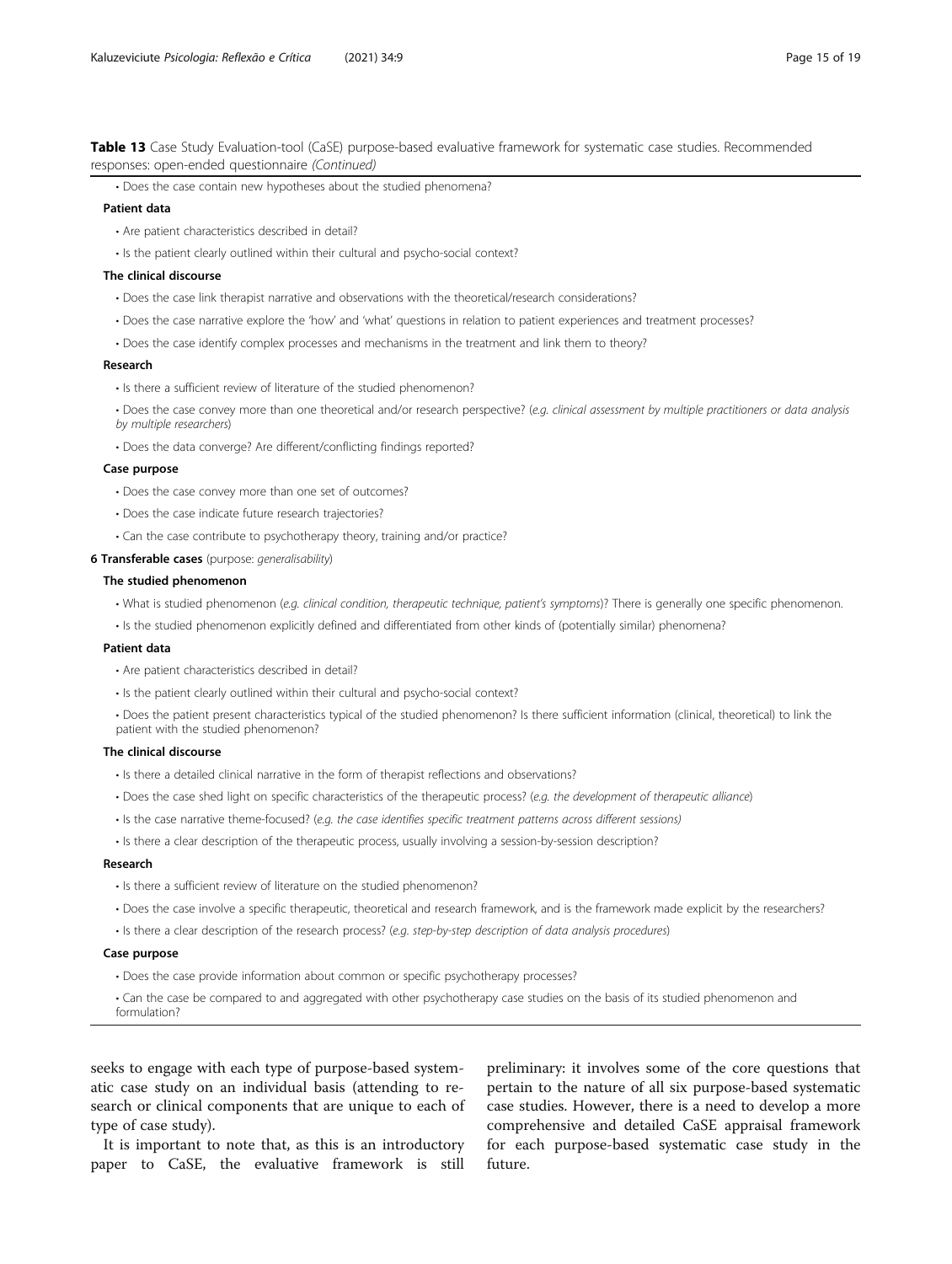Table 13 Case Study Evaluation-tool (CaSE) purpose-based evaluative framework for systematic case studies. Recommended responses: open-ended questionnaire (Continued)

• Does the case contain new hypotheses about the studied phenomena?

#### Patient data

- Are patient characteristics described in detail?
- Is the patient clearly outlined within their cultural and psycho-social context?

#### The clinical discourse

- Does the case link therapist narrative and observations with the theoretical/research considerations?
- Does the case narrative explore the 'how' and 'what' questions in relation to patient experiences and treatment processes?
- Does the case identify complex processes and mechanisms in the treatment and link them to theory?

#### Research

- Is there a sufficient review of literature of the studied phenomenon?
- Does the case convey more than one theoretical and/or research perspective? (e.g. clinical assessment by multiple practitioners or data analysis by multiple researchers)
- Does the data converge? Are different/conflicting findings reported?

#### Case purpose

- Does the case convey more than one set of outcomes?
- Does the case indicate future research trajectories?
- Can the case contribute to psychotherapy theory, training and/or practice?

#### **6 Transferable cases** (purpose: generalisability)

#### The studied phenomenon

- What is studied phenomenon (e.g. clinical condition, therapeutic technique, patient's symptoms)? There is generally one specific phenomenon.
- Is the studied phenomenon explicitly defined and differentiated from other kinds of (potentially similar) phenomena?

#### Patient data

- Are patient characteristics described in detail?
- Is the patient clearly outlined within their cultural and psycho-social context?
- Does the patient present characteristics typical of the studied phenomenon? Is there sufficient information (clinical, theoretical) to link the patient with the studied phenomenon?

## The clinical discourse

- Is there a detailed clinical narrative in the form of therapist reflections and observations?
- Does the case shed light on specific characteristics of the therapeutic process? (e.g. the development of therapeutic alliance)
- Is the case narrative theme-focused? (e.g. the case identifies specific treatment patterns across different sessions)
- Is there a clear description of the therapeutic process, usually involving a session-by-session description?

#### Research

- Is there a sufficient review of literature on the studied phenomenon?
- Does the case involve a specific therapeutic, theoretical and research framework, and is the framework made explicit by the researchers?
- Is there a clear description of the research process? (e.g. step-by-step description of data analysis procedures)

## Case purpose

• Does the case provide information about common or specific psychotherapy processes?

• Can the case be compared to and aggregated with other psychotherapy case studies on the basis of its studied phenomenon and formulation?

seeks to engage with each type of purpose-based systematic case study on an individual basis (attending to research or clinical components that are unique to each of type of case study).

It is important to note that, as this is an introductory paper to CaSE, the evaluative framework is still

preliminary: it involves some of the core questions that pertain to the nature of all six purpose-based systematic case studies. However, there is a need to develop a more comprehensive and detailed CaSE appraisal framework for each purpose-based systematic case study in the future.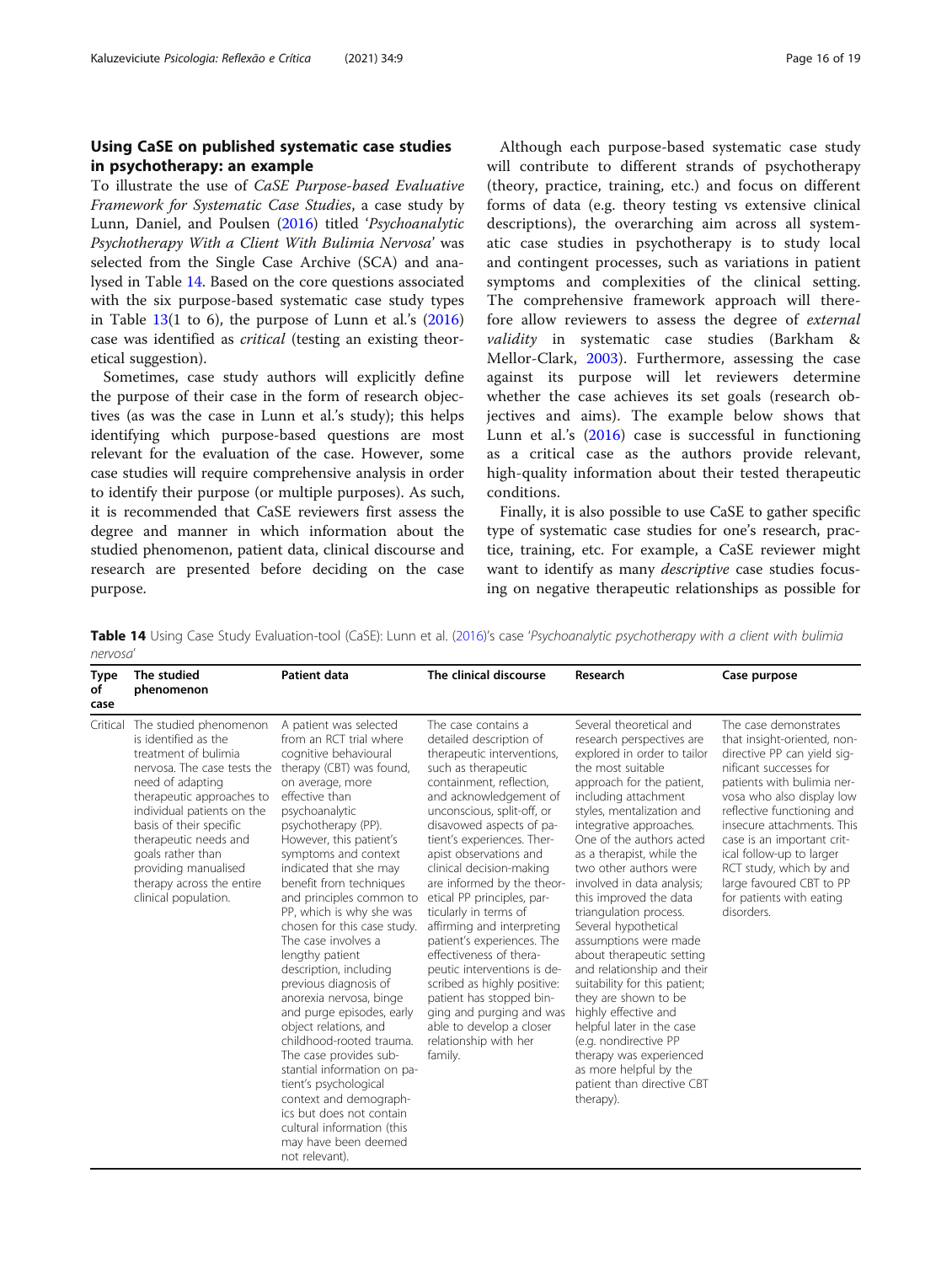## <span id="page-15-0"></span>Using CaSE on published systematic case studies in psychotherapy: an example

To illustrate the use of CaSE Purpose-based Evaluative Framework for Systematic Case Studies, a case study by Lunn, Daniel, and Poulsen [\(2016](#page-18-0)) titled 'Psychoanalytic Psychotherapy With a Client With Bulimia Nervosa' was selected from the Single Case Archive (SCA) and analysed in Table 14. Based on the core questions associated with the six purpose-based systematic case study types in Table  $13(1 \text{ to } 6)$  $13(1 \text{ to } 6)$ , the purpose of Lunn et al.'s  $(2016)$  $(2016)$  $(2016)$ case was identified as critical (testing an existing theoretical suggestion).

Sometimes, case study authors will explicitly define the purpose of their case in the form of research objectives (as was the case in Lunn et al.'s study); this helps identifying which purpose-based questions are most relevant for the evaluation of the case. However, some case studies will require comprehensive analysis in order to identify their purpose (or multiple purposes). As such, it is recommended that CaSE reviewers first assess the degree and manner in which information about the studied phenomenon, patient data, clinical discourse and research are presented before deciding on the case purpose.

Although each purpose-based systematic case study will contribute to different strands of psychotherapy (theory, practice, training, etc.) and focus on different forms of data (e.g. theory testing vs extensive clinical descriptions), the overarching aim across all systematic case studies in psychotherapy is to study local and contingent processes, such as variations in patient symptoms and complexities of the clinical setting. The comprehensive framework approach will therefore allow reviewers to assess the degree of external validity in systematic case studies (Barkham & Mellor-Clark, [2003\)](#page-17-0). Furthermore, assessing the case against its purpose will let reviewers determine whether the case achieves its set goals (research objectives and aims). The example below shows that Lunn et al.'s [\(2016](#page-18-0)) case is successful in functioning as a critical case as the authors provide relevant, high-quality information about their tested therapeutic conditions.

Finally, it is also possible to use CaSE to gather specific type of systematic case studies for one's research, practice, training, etc. For example, a CaSE reviewer might want to identify as many *descriptive* case studies focusing on negative therapeutic relationships as possible for

Table 14 Using Case Study Evaluation-tool (CaSE): Lunn et al. [\(2016\)](#page-18-0)'s case 'Psychoanalytic psychotherapy with a client with bulimia nervosa'

| Type<br>of<br>case | The studied<br>phenomenon                                                                                                                                                                                                                                                                                                                  | Patient data                                                                                                                                                                                                                                                                                                                                                                                                                                                                                                                                                                                                                                                                                                                                                                                                   | The clinical discourse                                                                                                                                                                                                                                                                                                                                                                                                                                                                                                                                                                                                                                                    | Research                                                                                                                                                                                                                                                                                                                                                                                                                                                                                                                                                                                                                                                                                                                                      | Case purpose                                                                                                                                                                                                                                                                                                                                                                                    |
|--------------------|--------------------------------------------------------------------------------------------------------------------------------------------------------------------------------------------------------------------------------------------------------------------------------------------------------------------------------------------|----------------------------------------------------------------------------------------------------------------------------------------------------------------------------------------------------------------------------------------------------------------------------------------------------------------------------------------------------------------------------------------------------------------------------------------------------------------------------------------------------------------------------------------------------------------------------------------------------------------------------------------------------------------------------------------------------------------------------------------------------------------------------------------------------------------|---------------------------------------------------------------------------------------------------------------------------------------------------------------------------------------------------------------------------------------------------------------------------------------------------------------------------------------------------------------------------------------------------------------------------------------------------------------------------------------------------------------------------------------------------------------------------------------------------------------------------------------------------------------------------|-----------------------------------------------------------------------------------------------------------------------------------------------------------------------------------------------------------------------------------------------------------------------------------------------------------------------------------------------------------------------------------------------------------------------------------------------------------------------------------------------------------------------------------------------------------------------------------------------------------------------------------------------------------------------------------------------------------------------------------------------|-------------------------------------------------------------------------------------------------------------------------------------------------------------------------------------------------------------------------------------------------------------------------------------------------------------------------------------------------------------------------------------------------|
| Critical           | The studied phenomenon<br>is identified as the<br>treatment of bulimia<br>nervosa. The case tests the<br>need of adapting<br>therapeutic approaches to<br>individual patients on the<br>basis of their specific<br>therapeutic needs and<br>goals rather than<br>providing manualised<br>therapy across the entire<br>clinical population. | A patient was selected<br>from an RCT trial where<br>cognitive behavioural<br>therapy (CBT) was found,<br>on average, more<br>effective than<br>psychoanalytic<br>psychotherapy (PP).<br>However, this patient's<br>symptoms and context<br>indicated that she may<br>benefit from techniques<br>and principles common to<br>PP, which is why she was<br>chosen for this case study.<br>The case involves a<br>lengthy patient<br>description, including<br>previous diagnosis of<br>anorexia nervosa, binge<br>and purge episodes, early<br>object relations, and<br>childhood-rooted trauma.<br>The case provides sub-<br>stantial information on pa-<br>tient's psychological<br>context and demograph-<br>ics but does not contain<br>cultural information (this<br>may have been deemed<br>not relevant). | The case contains a<br>detailed description of<br>therapeutic interventions,<br>such as therapeutic<br>containment, reflection,<br>and acknowledgement of<br>unconscious, split-off, or<br>disavowed aspects of pa-<br>tient's experiences. Ther-<br>apist observations and<br>clinical decision-making<br>are informed by the theor-<br>etical PP principles, par-<br>ticularly in terms of<br>affirming and interpreting<br>patient's experiences. The<br>effectiveness of thera-<br>peutic interventions is de-<br>scribed as highly positive:<br>patient has stopped bin-<br>ging and purging and was<br>able to develop a closer<br>relationship with her<br>family. | Several theoretical and<br>research perspectives are<br>explored in order to tailor<br>the most suitable<br>approach for the patient,<br>including attachment<br>styles, mentalization and<br>integrative approaches.<br>One of the authors acted<br>as a therapist, while the<br>two other authors were<br>involved in data analysis;<br>this improved the data<br>triangulation process.<br>Several hypothetical<br>assumptions were made<br>about therapeutic setting<br>and relationship and their<br>suitability for this patient;<br>they are shown to be<br>highly effective and<br>helpful later in the case<br>(e.g. nondirective PP<br>therapy was experienced<br>as more helpful by the<br>patient than directive CBT<br>therapy). | The case demonstrates<br>that insight-oriented, non-<br>directive PP can yield sig-<br>nificant successes for<br>patients with bulimia ner-<br>vosa who also display low<br>reflective functioning and<br>insecure attachments. This<br>case is an important crit-<br>ical follow-up to larger<br>RCT study, which by and<br>large favoured CBT to PP<br>for patients with eating<br>disorders. |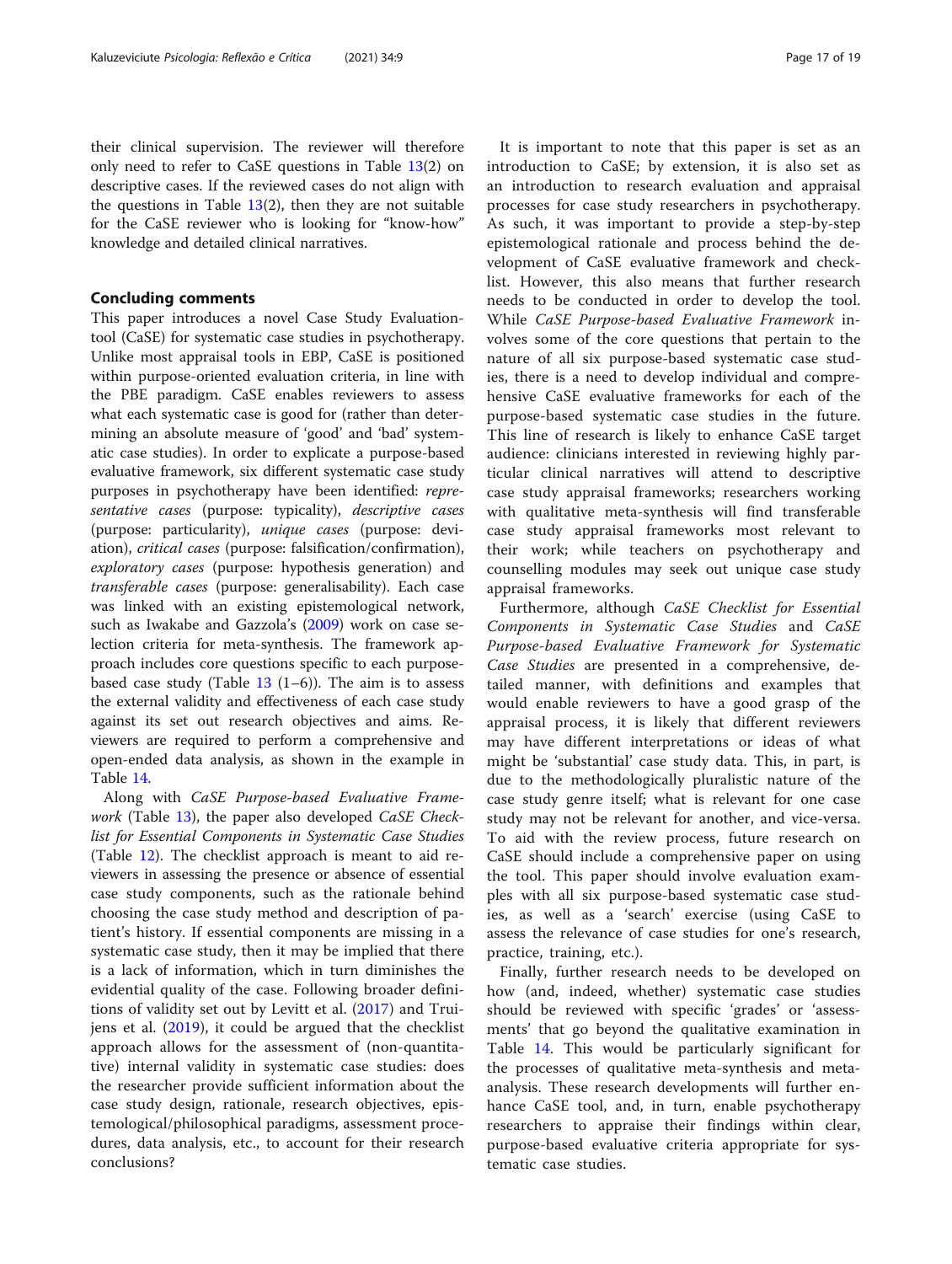their clinical supervision. The reviewer will therefore only need to refer to CaSE questions in Table [13\(](#page-12-0)2) on descriptive cases. If the reviewed cases do not align with the questions in Table  $13(2)$  $13(2)$ , then they are not suitable for the CaSE reviewer who is looking for "know-how" knowledge and detailed clinical narratives.

#### Concluding comments

This paper introduces a novel Case Study Evaluationtool (CaSE) for systematic case studies in psychotherapy. Unlike most appraisal tools in EBP, CaSE is positioned within purpose-oriented evaluation criteria, in line with the PBE paradigm. CaSE enables reviewers to assess what each systematic case is good for (rather than determining an absolute measure of 'good' and 'bad' systematic case studies). In order to explicate a purpose-based evaluative framework, six different systematic case study purposes in psychotherapy have been identified: representative cases (purpose: typicality), descriptive cases (purpose: particularity), unique cases (purpose: deviation), critical cases (purpose: falsification/confirmation), exploratory cases (purpose: hypothesis generation) and transferable cases (purpose: generalisability). Each case was linked with an existing epistemological network, such as Iwakabe and Gazzola's ([2009](#page-17-0)) work on case selection criteria for meta-synthesis. The framework approach includes core questions specific to each purposebased case study (Table  $13$  (1–6)). The aim is to assess the external validity and effectiveness of each case study against its set out research objectives and aims. Reviewers are required to perform a comprehensive and open-ended data analysis, as shown in the example in Table [14](#page-15-0).

Along with CaSE Purpose-based Evaluative Frame-work (Table [13\)](#page-12-0), the paper also developed CaSE Checklist for Essential Components in Systematic Case Studies (Table [12](#page-11-0)). The checklist approach is meant to aid reviewers in assessing the presence or absence of essential case study components, such as the rationale behind choosing the case study method and description of patient's history. If essential components are missing in a systematic case study, then it may be implied that there is a lack of information, which in turn diminishes the evidential quality of the case. Following broader definitions of validity set out by Levitt et al. ([2017\)](#page-18-0) and Truijens et al. [\(2019](#page-18-0)), it could be argued that the checklist approach allows for the assessment of (non-quantitative) internal validity in systematic case studies: does the researcher provide sufficient information about the case study design, rationale, research objectives, epistemological/philosophical paradigms, assessment procedures, data analysis, etc., to account for their research conclusions?

It is important to note that this paper is set as an introduction to CaSE; by extension, it is also set as an introduction to research evaluation and appraisal processes for case study researchers in psychotherapy. As such, it was important to provide a step-by-step epistemological rationale and process behind the development of CaSE evaluative framework and checklist. However, this also means that further research needs to be conducted in order to develop the tool. While CaSE Purpose-based Evaluative Framework involves some of the core questions that pertain to the nature of all six purpose-based systematic case studies, there is a need to develop individual and comprehensive CaSE evaluative frameworks for each of the purpose-based systematic case studies in the future. This line of research is likely to enhance CaSE target audience: clinicians interested in reviewing highly particular clinical narratives will attend to descriptive case study appraisal frameworks; researchers working with qualitative meta-synthesis will find transferable case study appraisal frameworks most relevant to their work; while teachers on psychotherapy and counselling modules may seek out unique case study appraisal frameworks.

Furthermore, although CaSE Checklist for Essential Components in Systematic Case Studies and CaSE Purpose-based Evaluative Framework for Systematic Case Studies are presented in a comprehensive, detailed manner, with definitions and examples that would enable reviewers to have a good grasp of the appraisal process, it is likely that different reviewers may have different interpretations or ideas of what might be 'substantial' case study data. This, in part, is due to the methodologically pluralistic nature of the case study genre itself; what is relevant for one case study may not be relevant for another, and vice-versa. To aid with the review process, future research on CaSE should include a comprehensive paper on using the tool. This paper should involve evaluation examples with all six purpose-based systematic case studies, as well as a 'search' exercise (using CaSE to assess the relevance of case studies for one's research, practice, training, etc.).

Finally, further research needs to be developed on how (and, indeed, whether) systematic case studies should be reviewed with specific 'grades' or 'assessments' that go beyond the qualitative examination in Table [14](#page-15-0). This would be particularly significant for the processes of qualitative meta-synthesis and metaanalysis. These research developments will further enhance CaSE tool, and, in turn, enable psychotherapy researchers to appraise their findings within clear, purpose-based evaluative criteria appropriate for systematic case studies.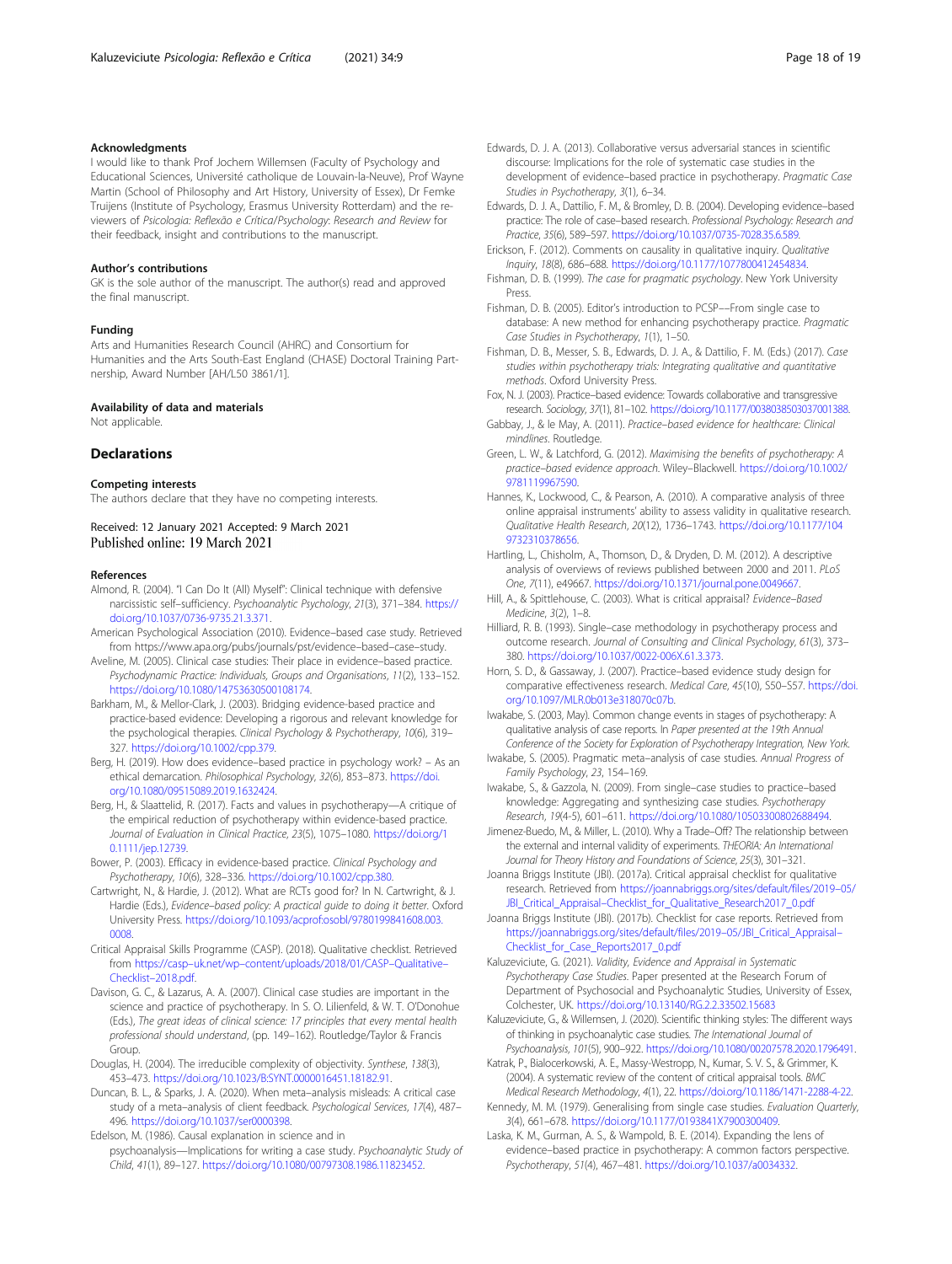## <span id="page-17-0"></span>Acknowledgments

I would like to thank Prof Jochem Willemsen (Faculty of Psychology and Educational Sciences, Université catholique de Louvain-la-Neuve), Prof Wayne Martin (School of Philosophy and Art History, University of Essex), Dr Femke Truijens (Institute of Psychology, Erasmus University Rotterdam) and the reviewers of Psicologia: Reflexão e Crítica/Psychology: Research and Review for their feedback, insight and contributions to the manuscript.

#### Author's contributions

GK is the sole author of the manuscript. The author(s) read and approved the final manuscript.

#### Funding

Arts and Humanities Research Council (AHRC) and Consortium for Humanities and the Arts South-East England (CHASE) Doctoral Training Partnership, Award Number [AH/L50 3861/1].

## Availability of data and materials

Not applicable.

## Declarations

#### Competing interests

The authors declare that they have no competing interests.

#### Received: 12 January 2021 Accepted: 9 March 2021 Published online: 19 March 2021

#### References

- Almond, R. (2004). "I Can Do It (All) Myself": Clinical technique with defensive narcissistic self–sufficiency. Psychoanalytic Psychology, 21(3), 371–384. [https://](https://doi.org/10.1037/0736-9735.21.3.371) [doi.org/10.1037/0736-9735.21.3.371.](https://doi.org/10.1037/0736-9735.21.3.371)
- American Psychological Association (2010). Evidence–based case study. Retrieved from https://www.apa.org/pubs/journals/pst/evidence–based–case–study.
- Aveline, M. (2005). Clinical case studies: Their place in evidence–based practice. Psychodynamic Practice: Individuals, Groups and Organisations, 11(2), 133–152. [https://doi.org/10.1080/14753630500108174.](https://doi.org/10.1080/14753630500108174)
- Barkham, M., & Mellor-Clark, J. (2003). Bridging evidence-based practice and practice-based evidence: Developing a rigorous and relevant knowledge for the psychological therapies. Clinical Psychology & Psychotherapy, 10(6), 319-327. [https://doi.org/10.1002/cpp.379.](https://doi.org/10.1002/cpp.379)
- Berg, H. (2019). How does evidence–based practice in psychology work? As an ethical demarcation. Philosophical Psychology, 32(6), 853–873. [https://doi.](https://doi.org/10.1080/09515089.2019.1632424) [org/10.1080/09515089.2019.1632424](https://doi.org/10.1080/09515089.2019.1632424).
- Berg, H., & Slaattelid, R. (2017). Facts and values in psychotherapy—A critique of the empirical reduction of psychotherapy within evidence-based practice. Journal of Evaluation in Clinical Practice, 23(5), 1075–1080. [https://doi.org/1](https://doi.org/10.1111/jep.12739) [0.1111/jep.12739](https://doi.org/10.1111/jep.12739).
- Bower, P. (2003). Efficacy in evidence-based practice. Clinical Psychology and Psychotherapy, 10(6), 328–336. <https://doi.org/10.1002/cpp.380>.
- Cartwright, N., & Hardie, J. (2012). What are RCTs good for? In N. Cartwright, & J. Hardie (Eds.), Evidence–based policy: A practical guide to doing it better. Oxford University Press. [https://doi.org/10.1093/acprof:osobl/9780199841608.003.](https://doi.org/10.1093/acprof:osobl/9780199841608.003.0008) [0008](https://doi.org/10.1093/acprof:osobl/9780199841608.003.0008).
- Critical Appraisal Skills Programme (CASP). (2018). Qualitative checklist. Retrieved from https://casp–uk.net/wp–[content/uploads/2018/01/CASP](https://casp-uk.net/wp-content/uploads/2018/01/CASP-Qualitative-Checklist-2018.pdf)–Qualitative– Checklist–[2018.pdf.](https://casp-uk.net/wp-content/uploads/2018/01/CASP-Qualitative-Checklist-2018.pdf)
- Davison, G. C., & Lazarus, A. A. (2007). Clinical case studies are important in the science and practice of psychotherapy. In S. O. Lilienfeld, & W. T. O'Donohue (Eds.), The great ideas of clinical science: 17 principles that every mental health professional should understand, (pp. 149–162). Routledge/Taylor & Francis **Group**
- Douglas, H. (2004). The irreducible complexity of objectivity. Synthese, 138(3), 453–473. <https://doi.org/10.1023/B:SYNT.0000016451.18182.91>.
- Duncan, B. L., & Sparks, J. A. (2020). When meta–analysis misleads: A critical case study of a meta–analysis of client feedback. Psychological Services, 17(4), 487– 496. <https://doi.org/10.1037/ser0000398>.

Edelson, M. (1986). Causal explanation in science and in

psychoanalysis—Implications for writing a case study. Psychoanalytic Study of Child, 41(1), 89–127. [https://doi.org/10.1080/00797308.1986.11823452.](https://doi.org/10.1080/00797308.1986.11823452)

- Edwards, D. J. A. (2013). Collaborative versus adversarial stances in scientific discourse: Implications for the role of systematic case studies in the development of evidence–based practice in psychotherapy. Pragmatic Case Studies in Psychotherapy, 3(1), 6–34.
- Edwards, D. J. A., Dattilio, F. M., & Bromley, D. B. (2004). Developing evidence–based practice: The role of case–based research. Professional Psychology: Research and Practice, 35(6), 589–597. [https://doi.org/10.1037/0735-7028.35.6.589.](https://doi.org/10.1037/0735-7028.35.6.589)
- Erickson, F. (2012). Comments on causality in qualitative inquiry. Qualitative Inquiry, 18(8), 686–688. [https://doi.org/10.1177/1077800412454834.](https://doi.org/10.1177/1077800412454834)
- Fishman, D. B. (1999). The case for pragmatic psychology. New York University Press.
- Fishman, D. B. (2005). Editor's introduction to PCSP––From single case to database: A new method for enhancing psychotherapy practice. Pragmatic Case Studies in Psychotherapy, 1(1), 1–50.
- Fishman, D. B., Messer, S. B., Edwards, D. J. A., & Dattilio, F. M. (Eds.) (2017). Case studies within psychotherapy trials: Integrating qualitative and quantitative methods. Oxford University Press.
- Fox, N. J. (2003). Practice–based evidence: Towards collaborative and transgressive research. Sociology, 37(1), 81–102. [https://doi.org/10.1177/0038038503037001388.](https://doi.org/10.1177/0038038503037001388)
- Gabbay, J., & le May, A. (2011). Practice–based evidence for healthcare: Clinical mindlines. Routledge.
- Green, L. W., & Latchford, G. (2012). Maximising the benefits of psychotherapy: A practice–based evidence approach. Wiley–Blackwell. [https://doi.org/10.1002/](https://doi.org/10.1002/9781119967590) [9781119967590](https://doi.org/10.1002/9781119967590).
- Hannes, K., Lockwood, C., & Pearson, A. (2010). A comparative analysis of three online appraisal instruments' ability to assess validity in qualitative research. Qualitative Health Research, 20(12), 1736–1743. [https://doi.org/10.1177/104](https://doi.org/10.1177/1049732310378656) [9732310378656](https://doi.org/10.1177/1049732310378656).
- Hartling, L., Chisholm, A., Thomson, D., & Dryden, D. M. (2012). A descriptive analysis of overviews of reviews published between 2000 and 2011. PLoS One, 7(11), e49667. [https://doi.org/10.1371/journal.pone.0049667.](https://doi.org/10.1371/journal.pone.0049667)
- Hill, A., & Spittlehouse, C. (2003). What is critical appraisal? Evidence–Based Medicine, 3(2), 1–8.
- Hilliard, R. B. (1993). Single–case methodology in psychotherapy process and outcome research. Journal of Consulting and Clinical Psychology, 61(3), 373– 380. <https://doi.org/10.1037/0022-006X.61.3.373>.
- Horn, S. D., & Gassaway, J. (2007). Practice–based evidence study design for comparative effectiveness research. Medical Care, 45(10), S50–S57. [https://doi.](https://doi.org/10.1097/MLR.0b013e318070c07b) [org/10.1097/MLR.0b013e318070c07b.](https://doi.org/10.1097/MLR.0b013e318070c07b)
- Iwakabe, S. (2003, May). Common change events in stages of psychotherapy: A qualitative analysis of case reports. In Paper presented at the 19th Annual Conference of the Society for Exploration of Psychotherapy Integration, New York.
- Iwakabe, S. (2005). Pragmatic meta–analysis of case studies. Annual Progress of Family Psychology, 23, 154–169.
- Iwakabe, S., & Gazzola, N. (2009). From single–case studies to practice–based knowledge: Aggregating and synthesizing case studies. Psychotherapy Research, 19(4-5), 601–611. [https://doi.org/10.1080/10503300802688494.](https://doi.org/10.1080/10503300802688494)
- Jimenez-Buedo, M., & Miller, L. (2010). Why a Trade–Off? The relationship between the external and internal validity of experiments. THEORIA: An International Journal for Theory History and Foundations of Science, 25(3), 301–321.
- Joanna Briggs Institute (JBI). (2017a). Critical appraisal checklist for qualitative research. Retrieved from [https://joannabriggs.org/sites/default/files/2019](https://joannabriggs.org/sites/default/files/2019-05/JBI_Critical_Appraisal-Checklist_for_Qualitative_Research2017_0.pdf)–05/ JBI\_Critical\_Appraisal–[Checklist\\_for\\_Qualitative\\_Research2017\\_0.pdf](https://joannabriggs.org/sites/default/files/2019-05/JBI_Critical_Appraisal-Checklist_for_Qualitative_Research2017_0.pdf)
- Joanna Briggs Institute (JBI). (2017b). Checklist for case reports. Retrieved from [https://joannabriggs.org/sites/default/files/2019](https://joannabriggs.org/sites/default/files/2019-05/JBI_Critical_Appraisal-Checklist_for_Case_Reports2017_0.pdf)–05/JBI\_Critical\_Appraisal– [Checklist\\_for\\_Case\\_Reports2017\\_0.pdf](https://joannabriggs.org/sites/default/files/2019-05/JBI_Critical_Appraisal-Checklist_for_Case_Reports2017_0.pdf)
- Kaluzeviciute, G. (2021). Validity, Evidence and Appraisal in Systematic Psychotherapy Case Studies. Paper presented at the Research Forum of Department of Psychosocial and Psychoanalytic Studies, University of Essex, Colchester, UK. <https://doi.org/10.13140/RG.2.2.33502.15683>
- Kaluzeviciute, G., & Willemsen, J. (2020). Scientific thinking styles: The different ways of thinking in psychoanalytic case studies. The International Journal of Psychoanalysis, 101(5), 900–922. [https://doi.org/10.1080/00207578.2020.1796491.](https://doi.org/10.1080/00207578.2020.1796491)
- Katrak, P., Bialocerkowski, A. E., Massy-Westropp, N., Kumar, S. V. S., & Grimmer, K. (2004). A systematic review of the content of critical appraisal tools. BMC Medical Research Methodology, 4(1), 22. [https://doi.org/10.1186/1471-2288-4-22.](https://doi.org/10.1186/1471-2288-4-22)
- Kennedy, M. M. (1979). Generalising from single case studies. Evaluation Quarterly, 3(4), 661–678. [https://doi.org/10.1177/0193841X7900300409.](https://doi.org/10.1177/0193841X7900300409)
- Laska, K. M., Gurman, A. S., & Wampold, B. E. (2014). Expanding the lens of evidence–based practice in psychotherapy: A common factors perspective. Psychotherapy, 51(4), 467–481. [https://doi.org/10.1037/a0034332.](https://doi.org/10.1037/a0034332)